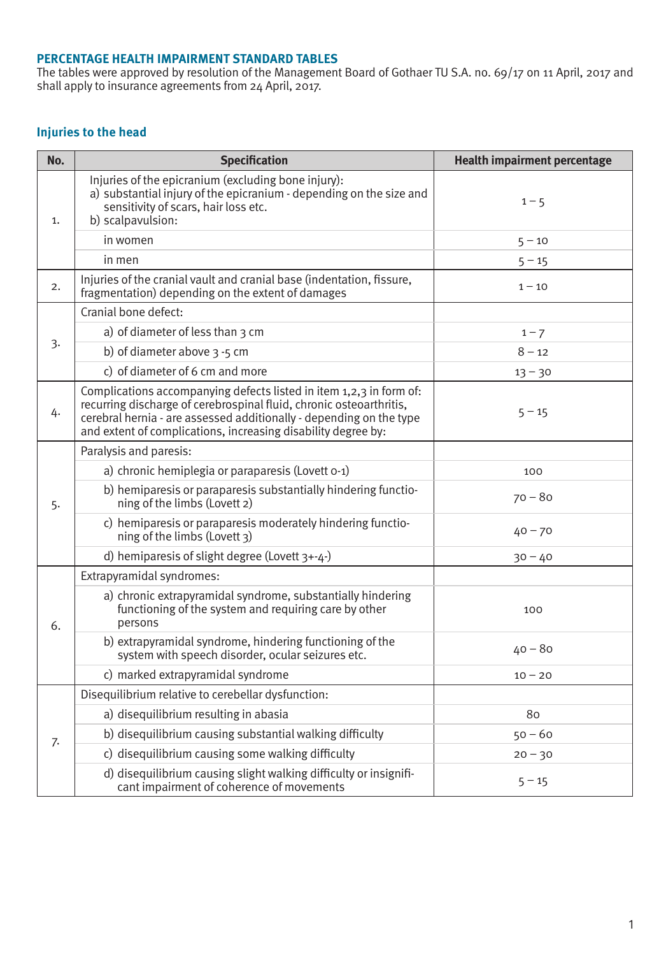#### **PERCENTAGE HEALTH IMPAIRMENT STANDARD TABLES**

The tables were approved by resolution of the Management Board of Gothaer TU S.A. no. 69/17 on 11 April, 2017 and shall apply to insurance agreements from 24 April, 2017.

#### **Injuries to the head**

| No. | <b>Specification</b>                                                                                                                                                                                                                                                               | <b>Health impairment percentage</b> |
|-----|------------------------------------------------------------------------------------------------------------------------------------------------------------------------------------------------------------------------------------------------------------------------------------|-------------------------------------|
| 1.  | Injuries of the epicranium (excluding bone injury):<br>a) substantial injury of the epicranium - depending on the size and<br>sensitivity of scars, hair loss etc.<br>b) scalpavulsion:                                                                                            | $1 - 5$                             |
|     | in women                                                                                                                                                                                                                                                                           | $5 - 10$                            |
|     | in men                                                                                                                                                                                                                                                                             | $5 - 15$                            |
| 2.  | Injuries of the cranial vault and cranial base (indentation, fissure,<br>fragmentation) depending on the extent of damages                                                                                                                                                         | $1 - 10$                            |
|     | Cranial bone defect:                                                                                                                                                                                                                                                               |                                     |
|     | a) of diameter of less than 3 cm                                                                                                                                                                                                                                                   | $1 - 7$                             |
| 3.  | b) of diameter above $3 - 5$ cm                                                                                                                                                                                                                                                    | $8 - 12$                            |
|     | c) of diameter of 6 cm and more                                                                                                                                                                                                                                                    | $13 - 30$                           |
| 4.  | Complications accompanying defects listed in item 1,2,3 in form of:<br>recurring discharge of cerebrospinal fluid, chronic osteoarthritis,<br>cerebral hernia - are assessed additionally - depending on the type<br>and extent of complications, increasing disability degree by: | $5 - 15$                            |
|     | Paralysis and paresis:                                                                                                                                                                                                                                                             |                                     |
|     | a) chronic hemiplegia or paraparesis (Lovett o-1)                                                                                                                                                                                                                                  | 100                                 |
| 5.  | b) hemiparesis or paraparesis substantially hindering functio-<br>ning of the limbs (Lovett 2)                                                                                                                                                                                     | $70 - 80$                           |
|     | c) hemiparesis or paraparesis moderately hindering functio-<br>ning of the limbs (Lovett 3)                                                                                                                                                                                        | $40 - 70$                           |
|     | d) hemiparesis of slight degree (Lovett $3+-4-$ )                                                                                                                                                                                                                                  | $30 - 40$                           |
|     | Extrapyramidal syndromes:                                                                                                                                                                                                                                                          |                                     |
| 6.  | a) chronic extrapyramidal syndrome, substantially hindering<br>functioning of the system and requiring care by other<br>persons                                                                                                                                                    | 100                                 |
|     | b) extrapyramidal syndrome, hindering functioning of the<br>system with speech disorder, ocular seizures etc.                                                                                                                                                                      | $40 - 80$                           |
|     | c) marked extrapyramidal syndrome                                                                                                                                                                                                                                                  | $10 - 20$                           |
|     | Disequilibrium relative to cerebellar dysfunction:                                                                                                                                                                                                                                 |                                     |
|     | a) disequilibrium resulting in abasia                                                                                                                                                                                                                                              | 80                                  |
| 7.  | b) disequilibrium causing substantial walking difficulty                                                                                                                                                                                                                           | $50 - 60$                           |
|     | c) disequilibrium causing some walking difficulty                                                                                                                                                                                                                                  | $20 - 30$                           |
|     | d) disequilibrium causing slight walking difficulty or insignifi-<br>cant impairment of coherence of movements                                                                                                                                                                     | $5 - 15$                            |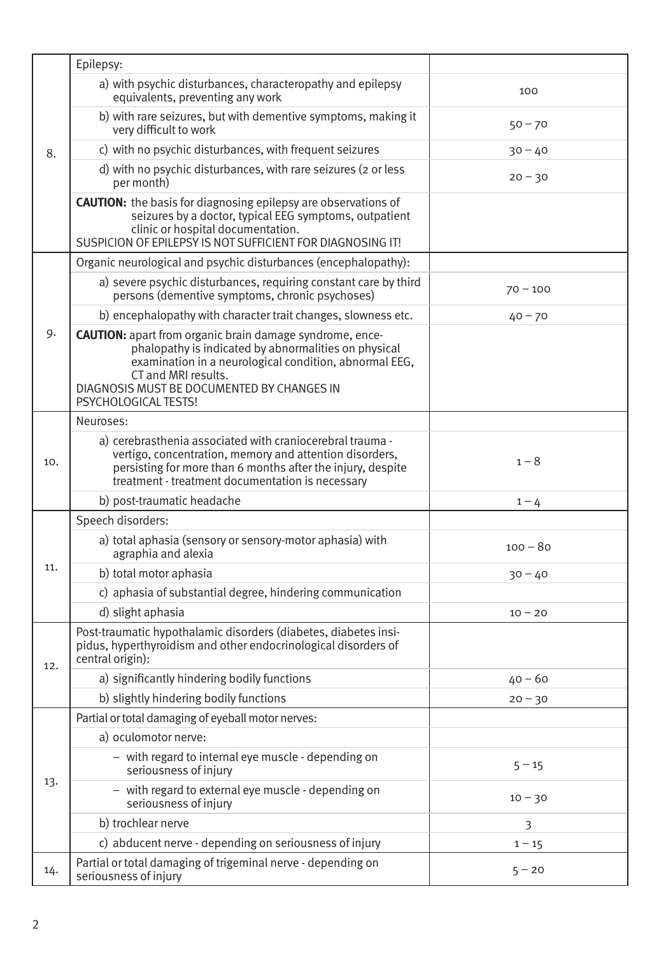|     | Epilepsy:                                                                                                                                                                                                                                                                      |            |
|-----|--------------------------------------------------------------------------------------------------------------------------------------------------------------------------------------------------------------------------------------------------------------------------------|------------|
|     |                                                                                                                                                                                                                                                                                |            |
|     | a) with psychic disturbances, characteropathy and epilepsy<br>equivalents, preventing any work                                                                                                                                                                                 | 100        |
|     | b) with rare seizures, but with dementive symptoms, making it<br>very difficult to work                                                                                                                                                                                        | $50 - 70$  |
| 8.  | c) with no psychic disturbances, with frequent seizures                                                                                                                                                                                                                        | $30 - 40$  |
|     | d) with no psychic disturbances, with rare seizures (2 or less<br>per month)                                                                                                                                                                                                   | $20 - 30$  |
|     | <b>CAUTION:</b> the basis for diagnosing epilepsy are observations of<br>seizures by a doctor, typical EEG symptoms, outpatient<br>clinic or hospital documentation.<br>SUSPICION OF EPILEPSY IS NOT SUFFICIENT FOR DIAGNOSING IT!                                             |            |
|     | Organic neurological and psychic disturbances (encephalopathy):                                                                                                                                                                                                                |            |
|     | a) severe psychic disturbances, requiring constant care by third<br>persons (dementive symptoms, chronic psychoses)                                                                                                                                                            | $70 - 100$ |
|     | b) encephalopathy with character trait changes, slowness etc.                                                                                                                                                                                                                  | $40 - 70$  |
| 9.  | <b>CAUTION:</b> apart from organic brain damage syndrome, ence-<br>phalopathy is indicated by abnormalities on physical<br>examination in a neurological condition, abnormal EEG,<br>CT and MRI results.<br>DIAGNOSIS MUST BE DOCUMENTED BY CHANGES IN<br>PSYCHOLOGICAL TESTS! |            |
|     | Neuroses:                                                                                                                                                                                                                                                                      |            |
| 10. | a) cerebrasthenia associated with craniocerebral trauma -<br>vertigo, concentration, memory and attention disorders,<br>persisting for more than 6 months after the injury, despite<br>treatment - treatment documentation is necessary                                        | $1 - 8$    |
|     | b) post-traumatic headache                                                                                                                                                                                                                                                     | $1 - 4$    |
|     | Speech disorders:                                                                                                                                                                                                                                                              |            |
|     | a) total aphasia (sensory or sensory-motor aphasia) with<br>agraphia and alexia                                                                                                                                                                                                | $100 - 80$ |
| 11. | b) total motor aphasia                                                                                                                                                                                                                                                         | $30 - 40$  |
|     | c) aphasia of substantial degree, hindering communication                                                                                                                                                                                                                      |            |
|     | d) slight aphasia                                                                                                                                                                                                                                                              | $10 - 20$  |
| 12. | Post-traumatic hypothalamic disorders (diabetes, diabetes insi-<br>pidus, hyperthyroidism and other endocrinological disorders of<br>central origin):                                                                                                                          |            |
|     | a) significantly hindering bodily functions                                                                                                                                                                                                                                    | $40 - 60$  |
|     | b) slightly hindering bodily functions                                                                                                                                                                                                                                         | $20 - 30$  |
|     | Partial or total damaging of eyeball motor nerves:                                                                                                                                                                                                                             |            |
|     | a) oculomotor nerve:                                                                                                                                                                                                                                                           |            |
|     | - with regard to internal eye muscle - depending on<br>seriousness of injury                                                                                                                                                                                                   | $5 - 15$   |
| 13. | - with regard to external eye muscle - depending on<br>seriousness of injury                                                                                                                                                                                                   | $10 - 30$  |
|     | b) trochlear nerve                                                                                                                                                                                                                                                             | 3          |
|     | c) abducent nerve - depending on seriousness of injury                                                                                                                                                                                                                         | $1 - 15$   |
| 14. | Partial or total damaging of trigeminal nerve - depending on<br>seriousness of injury                                                                                                                                                                                          | $5 - 20$   |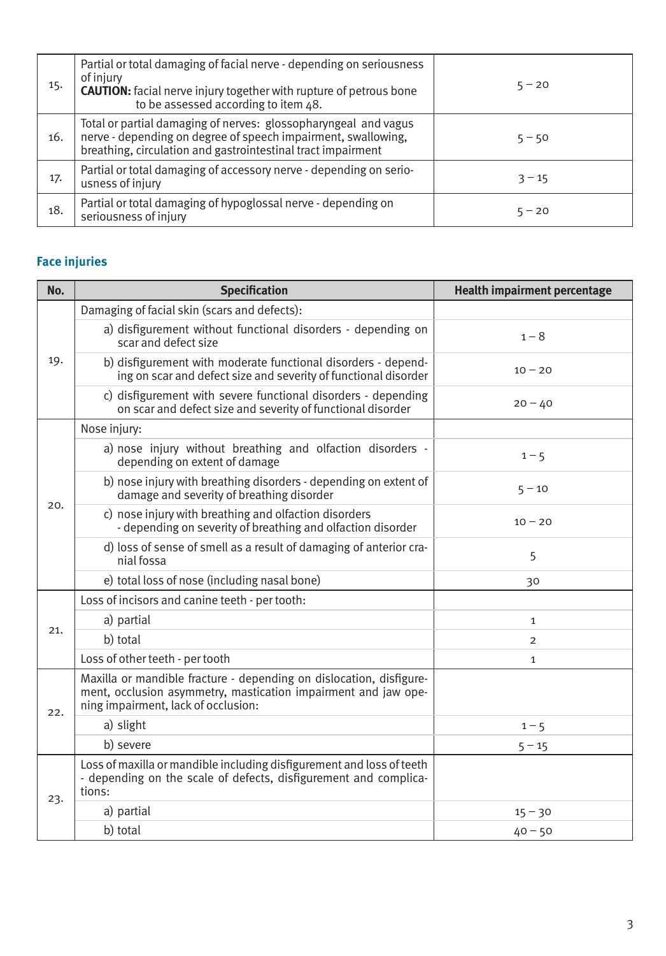| 15. | Partial or total damaging of facial nerve - depending on seriousness<br>of injury<br><b>CAUTION:</b> facial nerve injury together with rupture of petrous bone<br>to be assessed according to item 48. | $5 - 20$ |
|-----|--------------------------------------------------------------------------------------------------------------------------------------------------------------------------------------------------------|----------|
| 16. | Total or partial damaging of nerves: glossopharyngeal and vagus<br>nerve - depending on degree of speech impairment, swallowing,<br>breathing, circulation and gastrointestinal tract impairment       | $5 - 50$ |
| 17. | Partial or total damaging of accessory nerve - depending on serio-<br>usness of injury                                                                                                                 | $3 - 15$ |
| 18. | Partial or total damaging of hypoglossal nerve - depending on<br>seriousness of injury                                                                                                                 | $5 - 20$ |

# **Face injuries**

| No. | <b>Specification</b>                                                                                                                                                         | <b>Health impairment percentage</b> |
|-----|------------------------------------------------------------------------------------------------------------------------------------------------------------------------------|-------------------------------------|
|     | Damaging of facial skin (scars and defects):                                                                                                                                 |                                     |
| 19. | a) disfigurement without functional disorders - depending on<br>scar and defect size                                                                                         | $1 - 8$                             |
|     | b) disfigurement with moderate functional disorders - depend-<br>ing on scar and defect size and severity of functional disorder                                             | $10 - 20$                           |
|     | c) disfigurement with severe functional disorders - depending<br>on scar and defect size and severity of functional disorder                                                 | $20 - 40$                           |
|     | Nose injury:                                                                                                                                                                 |                                     |
|     | a) nose injury without breathing and olfaction disorders -<br>depending on extent of damage                                                                                  | $1 - 5$                             |
| 20. | b) nose injury with breathing disorders - depending on extent of<br>damage and severity of breathing disorder                                                                | $5 - 10$                            |
|     | c) nose injury with breathing and olfaction disorders<br>- depending on severity of breathing and olfaction disorder                                                         | $10 - 20$                           |
|     | d) loss of sense of smell as a result of damaging of anterior cra-<br>nial fossa                                                                                             | 5                                   |
|     | e) total loss of nose (including nasal bone)                                                                                                                                 | 30                                  |
|     | Loss of incisors and canine teeth - per tooth:                                                                                                                               |                                     |
| 21. | a) partial                                                                                                                                                                   | 1                                   |
|     | b) total                                                                                                                                                                     | $\overline{2}$                      |
|     | Loss of other teeth - per tooth                                                                                                                                              | $\mathbf{1}$                        |
| 22. | Maxilla or mandible fracture - depending on dislocation, disfigure-<br>ment, occlusion asymmetry, mastication impairment and jaw ope-<br>ning impairment, lack of occlusion: |                                     |
|     | a) slight                                                                                                                                                                    | $1 - 5$                             |
|     | b) severe                                                                                                                                                                    | $5 - 15$                            |
| 23. | Loss of maxilla or mandible including disfigurement and loss of teeth<br>- depending on the scale of defects, disfigurement and complica-<br>tions:                          |                                     |
|     | a) partial                                                                                                                                                                   | $15 - 30$                           |
|     | b) total                                                                                                                                                                     | $40 - 50$                           |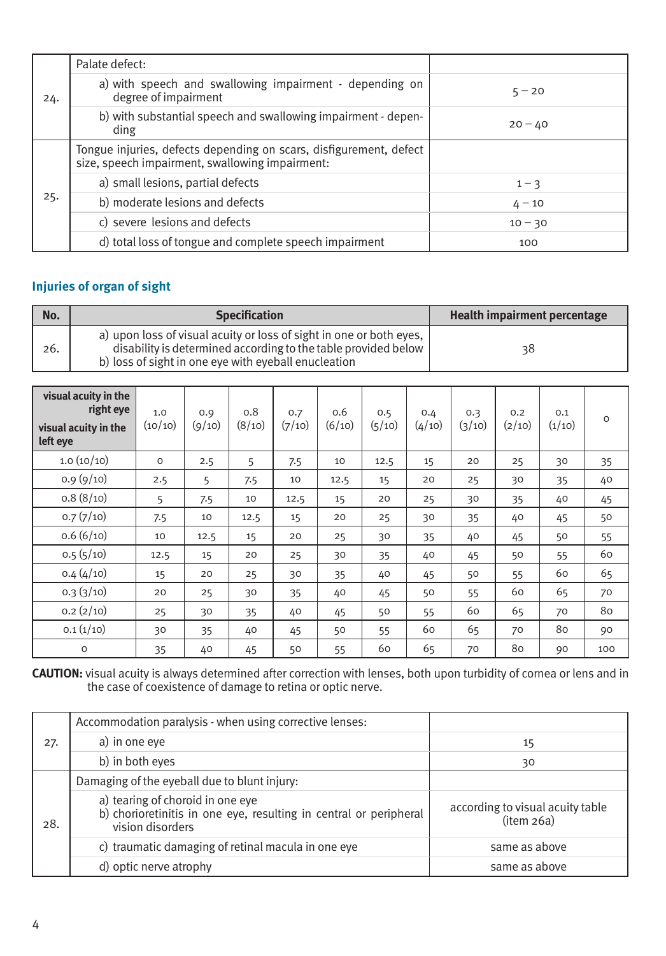| 24. | Palate defect:                                                                                                        |           |
|-----|-----------------------------------------------------------------------------------------------------------------------|-----------|
|     | a) with speech and swallowing impairment - depending on<br>degree of impairment                                       | $5 - 20$  |
|     | b) with substantial speech and swallowing impairment - depen-<br>ding                                                 | $20 - 40$ |
|     | Tongue injuries, defects depending on scars, disfigurement, defect<br>size, speech impairment, swallowing impairment: |           |
|     | a) small lesions, partial defects                                                                                     | $1 - 3$   |
| 25. | b) moderate lesions and defects                                                                                       | $4 - 10$  |
|     | c) severe lesions and defects                                                                                         | $10 - 30$ |
|     | d) total loss of tongue and complete speech impairment                                                                | 100       |

#### **Injuries of organ of sight**

| No. | <b>Specification</b>                                                                                                                                                                          | Health impairment percentage |
|-----|-----------------------------------------------------------------------------------------------------------------------------------------------------------------------------------------------|------------------------------|
| 26. | a) upon loss of visual acuity or loss of sight in one or both eyes.<br>disability is determined according to the table provided below<br>b) loss of sight in one eye with eyeball enucleation | 38                           |

| visual acuity in the<br>right eye<br>visual acuity in the<br>left eye | 1.0<br>(10/10) | 0.9<br>(9/10) | 0.8<br>(8/10) | 0.7<br>(7/10) | 0.6<br>(6/10) | 0.5<br>(5/10) | 0.4<br>(4/10) | 0.3<br>(3/10) | 0.2<br>(2/10) | 0.1<br>(1/10) | $\Omega$ |
|-----------------------------------------------------------------------|----------------|---------------|---------------|---------------|---------------|---------------|---------------|---------------|---------------|---------------|----------|
| 1.0(10/10)                                                            | $\circ$        | 2.5           | 5             | 7.5           | 10            | 12.5          | 15            | 20            | 25            | 30            | 35       |
| 0.9(9/10)                                                             | 2.5            | 5             | 7.5           | 10            | 12.5          | 15            | 20            | 25            | 30            | 35            | 40       |
| 0.8(8/10)                                                             | 5              | 7.5           | 10            | 12.5          | 15            | 20            | 25            | 30            | 35            | 40            | 45       |
| 0.7(7/10)                                                             | 7.5            | 10            | 12.5          | 15            | 20            | 25            | 30            | 35            | 40            | 45            | 50       |
| 0.6(6/10)                                                             | 10             | 12.5          | 15            | 20            | 25            | 30            | 35            | 40            | 45            | 50            | 55       |
| 0.5(5/10)                                                             | 12.5           | 15            | 20            | 25            | 30            | 35            | 40            | 45            | 50            | 55            | 60       |
| 0.4(4/10)                                                             | 15             | 20            | 25            | 30            | 35            | 40            | 45            | 50            | 55            | 60            | 65       |
| 0.3(3/10)                                                             | 20             | 25            | 30            | 35            | 40            | 45            | 50            | 55            | 60            | 65            | 70       |
| 0.2(2/10)                                                             | 25             | 30            | 35            | 40            | 45            | 50            | 55            | 60            | 65            | 70            | 80       |
| 0.1(1/10)                                                             | 30             | 35            | 40            | 45            | 50            | 55            | 60            | 65            | 70            | 80            | 90       |
| $\circ$                                                               | 35             | 40            | 45            | 50            | 55            | 60            | 65            | 70            | 80            | 90            | 100      |

**CAUTION:** visual acuity is always determined after correction with lenses, both upon turbidity of cornea or lens and in the case of coexistence of damage to retina or optic nerve.

| 27. | Accommodation paralysis - when using corrective lenses:                                                                   |                                                |
|-----|---------------------------------------------------------------------------------------------------------------------------|------------------------------------------------|
|     | a) in one eve                                                                                                             | 15                                             |
|     | b) in both eyes                                                                                                           | 30                                             |
| 28. | Damaging of the eyeball due to blunt injury:                                                                              |                                                |
|     | a) tearing of choroid in one eye<br>b) chorioretinitis in one eye, resulting in central or peripheral<br>vision disorders | according to visual acuity table<br>(item 26a) |
|     | c) traumatic damaging of retinal macula in one eve                                                                        | same as above                                  |
|     | d) optic nerve atrophy                                                                                                    | same as above                                  |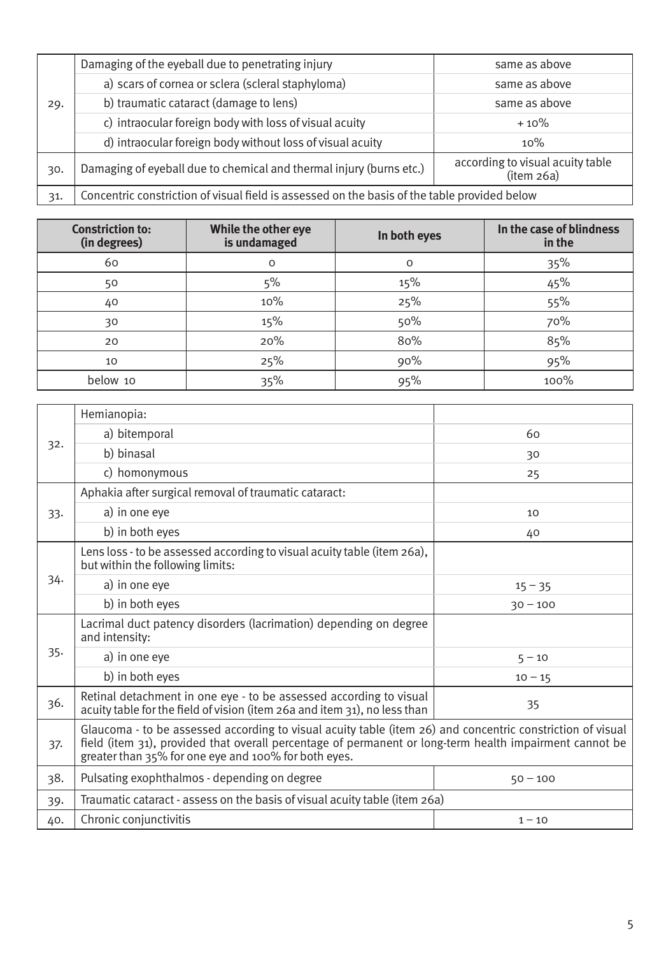| 29. | Damaging of the eyeball due to penetrating injury                                            | same as above                                  |  |  |
|-----|----------------------------------------------------------------------------------------------|------------------------------------------------|--|--|
|     | a) scars of cornea or sclera (scleral staphyloma)                                            | same as above                                  |  |  |
|     | b) traumatic cataract (damage to lens)                                                       | same as above                                  |  |  |
|     | c) intraocular foreign body with loss of visual acuity                                       | $+10%$                                         |  |  |
|     | d) intraocular foreign body without loss of visual acuity                                    | 10%                                            |  |  |
| 30. | Damaging of eyeball due to chemical and thermal injury (burns etc.)                          | according to visual acuity table<br>(item 26a) |  |  |
| 31. | Concentric constriction of visual field is assessed on the basis of the table provided below |                                                |  |  |

| <b>Constriction to:</b><br>(in degrees) | While the other eye<br>is undamaged | In both eyes | In the case of blindness<br>in the |
|-----------------------------------------|-------------------------------------|--------------|------------------------------------|
| 60                                      | $\Omega$                            | $\circ$      | 35%                                |
| 50                                      | 5%                                  | 15%          | 45%                                |
| 40                                      | 10%                                 | 25%          | 55%                                |
| 30                                      | 15%                                 | 50%          | 70%                                |
| 20                                      | 20%                                 | 80%          | 85%                                |
| 10                                      | 25%                                 | 90%          | 95%                                |
| below 10                                | 35%                                 | 95%          | 100%                               |

|     | Hemianopia:                                                                                                                                                                                                                                                                   |            |  |  |
|-----|-------------------------------------------------------------------------------------------------------------------------------------------------------------------------------------------------------------------------------------------------------------------------------|------------|--|--|
|     | a) bitemporal                                                                                                                                                                                                                                                                 | 60         |  |  |
| 32. | b) binasal                                                                                                                                                                                                                                                                    | 30         |  |  |
|     | c) homonymous                                                                                                                                                                                                                                                                 | 25         |  |  |
|     | Aphakia after surgical removal of traumatic cataract:                                                                                                                                                                                                                         |            |  |  |
| 33. | a) in one eye                                                                                                                                                                                                                                                                 | 10         |  |  |
|     | b) in both eyes                                                                                                                                                                                                                                                               | 40         |  |  |
|     | Lens loss - to be assessed according to visual acuity table (item 26a),<br>but within the following limits:                                                                                                                                                                   |            |  |  |
| 34. | a) in one eye                                                                                                                                                                                                                                                                 | $15 - 35$  |  |  |
|     | b) in both eyes                                                                                                                                                                                                                                                               | $30 - 100$ |  |  |
|     | Lacrimal duct patency disorders (lacrimation) depending on degree<br>and intensity:                                                                                                                                                                                           |            |  |  |
| 35. | a) in one eye                                                                                                                                                                                                                                                                 | $5 - 10$   |  |  |
|     | b) in both eyes                                                                                                                                                                                                                                                               | $10 - 15$  |  |  |
| 36. | Retinal detachment in one eye - to be assessed according to visual<br>acuity table for the field of vision (item 26a and item 31), no less than                                                                                                                               | 35         |  |  |
| 37. | Glaucoma - to be assessed according to visual acuity table (item 26) and concentric constriction of visual<br>field (item 31), provided that overall percentage of permanent or long-term health impairment cannot be<br>greater than 35% for one eye and 100% for both eyes. |            |  |  |
| 38. | Pulsating exophthalmos - depending on degree                                                                                                                                                                                                                                  | $50 - 100$ |  |  |
| 39. | Traumatic cataract - assess on the basis of visual acuity table (item 26a)                                                                                                                                                                                                    |            |  |  |
| 40. | Chronic conjunctivitis                                                                                                                                                                                                                                                        | $1 - 10$   |  |  |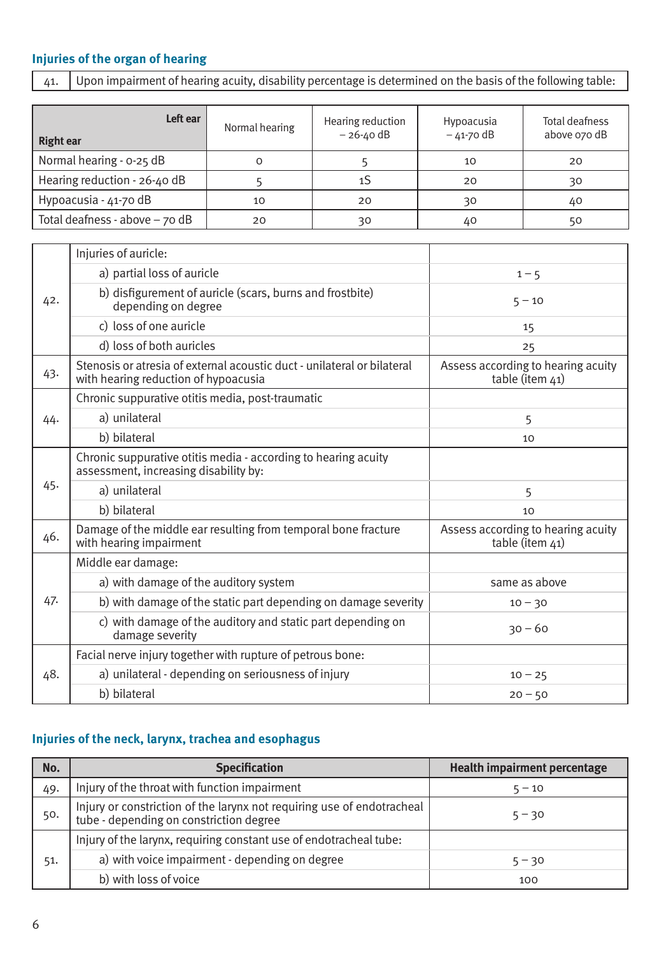### **Injuries of the organ of hearing**

 $\overline{41.}$  Upon impairment of hearing acuity, disability percentage is determined on the basis of the following table:

| Left ear<br><b>Right ear</b>    | Normal hearing | Hearing reduction<br>$-26 - 40$ dB | Hypoacusia<br>$-41-70$ dB | Total deafness<br>above 070 dB |
|---------------------------------|----------------|------------------------------------|---------------------------|--------------------------------|
| Normal hearing - 0-25 dB        | Ο              |                                    | 10                        | 20                             |
| Hearing reduction - 26-40 dB    |                |                                    | 20                        | 30                             |
| Hypoacusia - 41-70 dB           | 10             | 20                                 | 30                        | 40                             |
| Total deafness - above $-70$ dB | 20             | 30                                 | 40                        | 50                             |

|     | Injuries of auricle:                                                                                            |                                                       |
|-----|-----------------------------------------------------------------------------------------------------------------|-------------------------------------------------------|
| 42. | a) partial loss of auricle                                                                                      | $1 - 5$                                               |
|     | b) disfigurement of auricle (scars, burns and frostbite)<br>depending on degree                                 | $5 - 10$                                              |
|     | c) loss of one auricle                                                                                          | 15                                                    |
|     | d) loss of both auricles                                                                                        | 25                                                    |
| 43. | Stenosis or atresia of external acoustic duct - unilateral or bilateral<br>with hearing reduction of hypoacusia | Assess according to hearing acuity<br>table (item 41) |
|     | Chronic suppurative otitis media, post-traumatic                                                                |                                                       |
| 44. | a) unilateral                                                                                                   | 5                                                     |
|     | b) bilateral                                                                                                    | 10                                                    |
|     | Chronic suppurative otitis media - according to hearing acuity<br>assessment, increasing disability by:         |                                                       |
| 45. | a) unilateral                                                                                                   | 5                                                     |
|     | b) bilateral                                                                                                    | 10                                                    |
| 46. | Damage of the middle ear resulting from temporal bone fracture<br>with hearing impairment                       | Assess according to hearing acuity<br>table (item 41) |
|     | Middle ear damage:                                                                                              |                                                       |
|     | a) with damage of the auditory system                                                                           | same as above                                         |
| 47. | b) with damage of the static part depending on damage severity                                                  | $10 - 30$                                             |
|     | c) with damage of the auditory and static part depending on<br>damage severity                                  | $30 - 60$                                             |
|     | Facial nerve injury together with rupture of petrous bone:                                                      |                                                       |
| 48. | a) unilateral - depending on seriousness of injury                                                              | $10 - 25$                                             |
|     | b) bilateral                                                                                                    | $20 - 50$                                             |

### **Injuries of the neck, larynx, trachea and esophagus**

| No. | <b>Specification</b>                                                                                              | <b>Health impairment percentage</b> |
|-----|-------------------------------------------------------------------------------------------------------------------|-------------------------------------|
| 49. | Injury of the throat with function impairment                                                                     | $5 - 10$                            |
| 50. | Injury or constriction of the larynx not requiring use of endotracheal<br>tube - depending on constriction degree | $5 - 30$                            |
|     | Injury of the larynx, requiring constant use of endotracheal tube:                                                |                                     |
| 51. | a) with voice impairment - depending on degree                                                                    | $5 - 30$                            |
|     | b) with loss of voice                                                                                             | 100                                 |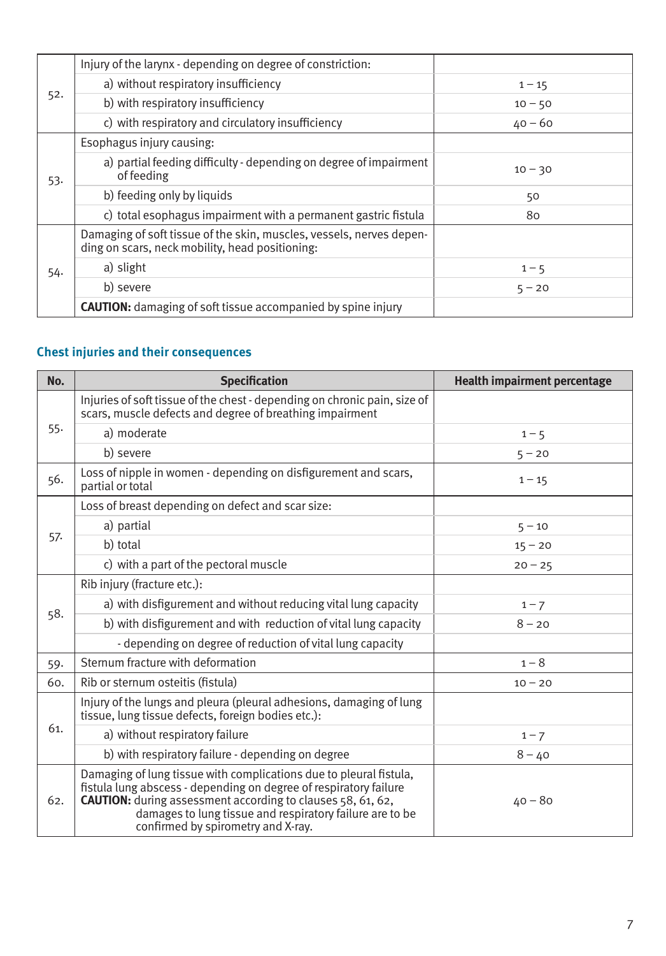|     | Injury of the larynx - depending on degree of constriction:                                                             |           |
|-----|-------------------------------------------------------------------------------------------------------------------------|-----------|
|     | a) without respiratory insufficiency                                                                                    | $1 - 15$  |
| 52. | b) with respiratory insufficiency                                                                                       | $10 - 50$ |
|     | c) with respiratory and circulatory insufficiency                                                                       | $40 - 60$ |
|     | Esophagus injury causing:                                                                                               |           |
| 53. | a) partial feeding difficulty - depending on degree of impairment<br>of feeding                                         | $10 - 30$ |
|     | b) feeding only by liquids                                                                                              | 50        |
|     | c) total esophagus impairment with a permanent gastric fistula                                                          | 80        |
| 54. | Damaging of soft tissue of the skin, muscles, vessels, nerves depen-<br>ding on scars, neck mobility, head positioning: |           |
|     | a) slight                                                                                                               | $1 - 5$   |
|     | b) severe                                                                                                               | $5 - 20$  |
|     | <b>CAUTION:</b> damaging of soft tissue accompanied by spine injury                                                     |           |

# **Chest injuries and their consequences**

| No. | <b>Specification</b>                                                                                                                                                                                                                                                                                            | <b>Health impairment percentage</b> |
|-----|-----------------------------------------------------------------------------------------------------------------------------------------------------------------------------------------------------------------------------------------------------------------------------------------------------------------|-------------------------------------|
|     | Injuries of soft tissue of the chest - depending on chronic pain, size of<br>scars, muscle defects and degree of breathing impairment                                                                                                                                                                           |                                     |
| 55. | a) moderate                                                                                                                                                                                                                                                                                                     | $1 - 5$                             |
|     | b) severe                                                                                                                                                                                                                                                                                                       | $5 - 20$                            |
| 56. | Loss of nipple in women - depending on disfigurement and scars.<br>partial or total                                                                                                                                                                                                                             | $1 - 15$                            |
|     | Loss of breast depending on defect and scar size:                                                                                                                                                                                                                                                               |                                     |
|     | a) partial                                                                                                                                                                                                                                                                                                      | $5 - 10$                            |
| 57. | b) total                                                                                                                                                                                                                                                                                                        | $15 - 20$                           |
|     | c) with a part of the pectoral muscle                                                                                                                                                                                                                                                                           | $20 - 25$                           |
|     | Rib injury (fracture etc.):                                                                                                                                                                                                                                                                                     |                                     |
| 58. | a) with disfigurement and without reducing vital lung capacity                                                                                                                                                                                                                                                  | $1 - 7$                             |
|     | b) with disfigurement and with reduction of vital lung capacity                                                                                                                                                                                                                                                 | $8 - 20$                            |
|     | - depending on degree of reduction of vital lung capacity                                                                                                                                                                                                                                                       |                                     |
| 59. | Sternum fracture with deformation                                                                                                                                                                                                                                                                               | $1 - 8$                             |
| 60. | Rib or sternum osteitis (fistula)                                                                                                                                                                                                                                                                               | $10 - 20$                           |
|     | Injury of the lungs and pleura (pleural adhesions, damaging of lung<br>tissue, lung tissue defects, foreign bodies etc.):                                                                                                                                                                                       |                                     |
| 61. | a) without respiratory failure                                                                                                                                                                                                                                                                                  | $1 - 7$                             |
|     | b) with respiratory failure - depending on degree                                                                                                                                                                                                                                                               | $8 - 40$                            |
| 62. | Damaging of lung tissue with complications due to pleural fistula,<br>fistula lung abscess - depending on degree of respiratory failure<br><b>CAUTION:</b> during assessment according to clauses 58, 61, 62,<br>damages to lung tissue and respiratory failure are to be<br>confirmed by spirometry and X-ray. | $40 - 80$                           |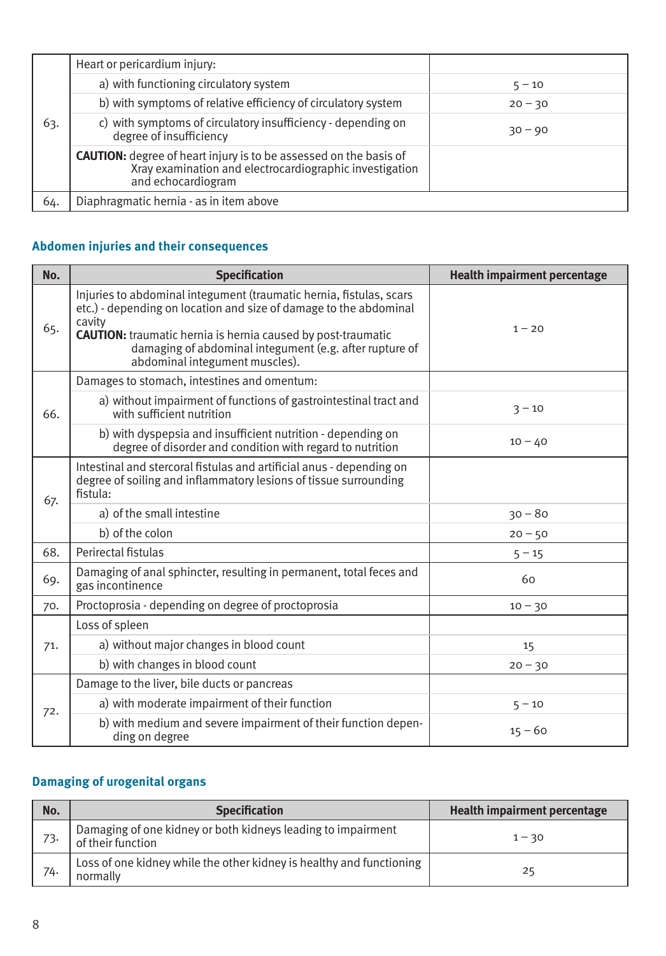|     | Heart or pericardium injury:                                                                                                                              |           |
|-----|-----------------------------------------------------------------------------------------------------------------------------------------------------------|-----------|
|     | a) with functioning circulatory system                                                                                                                    | $5 - 10$  |
|     | b) with symptoms of relative efficiency of circulatory system                                                                                             | $20 - 30$ |
| 63. | c) with symptoms of circulatory insufficiency - depending on<br>degree of insufficiency                                                                   | $30 - 90$ |
|     | <b>CAUTION:</b> degree of heart injury is to be assessed on the basis of<br>Xray examination and electrocardiographic investigation<br>and echocardiogram |           |
| 64. | Diaphragmatic hernia - as in item above                                                                                                                   |           |

# **Abdomen injuries and their consequences**

| No. | <b>Specification</b>                                                                                                                                                                                                                                                                                                   | <b>Health impairment percentage</b> |
|-----|------------------------------------------------------------------------------------------------------------------------------------------------------------------------------------------------------------------------------------------------------------------------------------------------------------------------|-------------------------------------|
| 65. | Injuries to abdominal integument (traumatic hernia, fistulas, scars<br>etc.) - depending on location and size of damage to the abdominal<br>cavity<br><b>CAUTION:</b> traumatic hernia is hernia caused by post-traumatic<br>damaging of abdominal integument (e.g. after rupture of<br>abdominal integument muscles). | $1 - 20$                            |
|     | Damages to stomach, intestines and omentum:                                                                                                                                                                                                                                                                            |                                     |
| 66. | a) without impairment of functions of gastrointestinal tract and<br>with sufficient nutrition                                                                                                                                                                                                                          | $3 - 10$                            |
|     | b) with dyspepsia and insufficient nutrition - depending on<br>degree of disorder and condition with regard to nutrition                                                                                                                                                                                               | $10 - 40$                           |
| 67. | Intestinal and stercoral fistulas and artificial anus - depending on<br>degree of soiling and inflammatory lesions of tissue surrounding<br>fistula:                                                                                                                                                                   |                                     |
|     | a) of the small intestine                                                                                                                                                                                                                                                                                              | $30 - 80$                           |
|     | b) of the colon                                                                                                                                                                                                                                                                                                        | $20 - 50$                           |
| 68. | Perirectal fistulas                                                                                                                                                                                                                                                                                                    | $5 - 15$                            |
| 69. | Damaging of anal sphincter, resulting in permanent, total feces and<br>gas incontinence                                                                                                                                                                                                                                | 60                                  |
| 70. | Proctoprosia - depending on degree of proctoprosia                                                                                                                                                                                                                                                                     | $10 - 30$                           |
|     | Loss of spleen                                                                                                                                                                                                                                                                                                         |                                     |
| 71. | a) without major changes in blood count                                                                                                                                                                                                                                                                                | 15                                  |
|     | b) with changes in blood count                                                                                                                                                                                                                                                                                         | $20 - 30$                           |
|     | Damage to the liver, bile ducts or pancreas                                                                                                                                                                                                                                                                            |                                     |
| 72. | a) with moderate impairment of their function                                                                                                                                                                                                                                                                          | $5 - 10$                            |
|     | b) with medium and severe impairment of their function depen-<br>ding on degree                                                                                                                                                                                                                                        | $15 - 60$                           |

## **Damaging of urogenital organs**

| No. | <b>Specification</b>                                                              | Health impairment percentage |
|-----|-----------------------------------------------------------------------------------|------------------------------|
| 73. | Damaging of one kidney or both kidneys leading to impairment<br>of their function | $1 - 30$                     |
| 74. | Loss of one kidney while the other kidney is healthy and functioning<br>normally  | 25                           |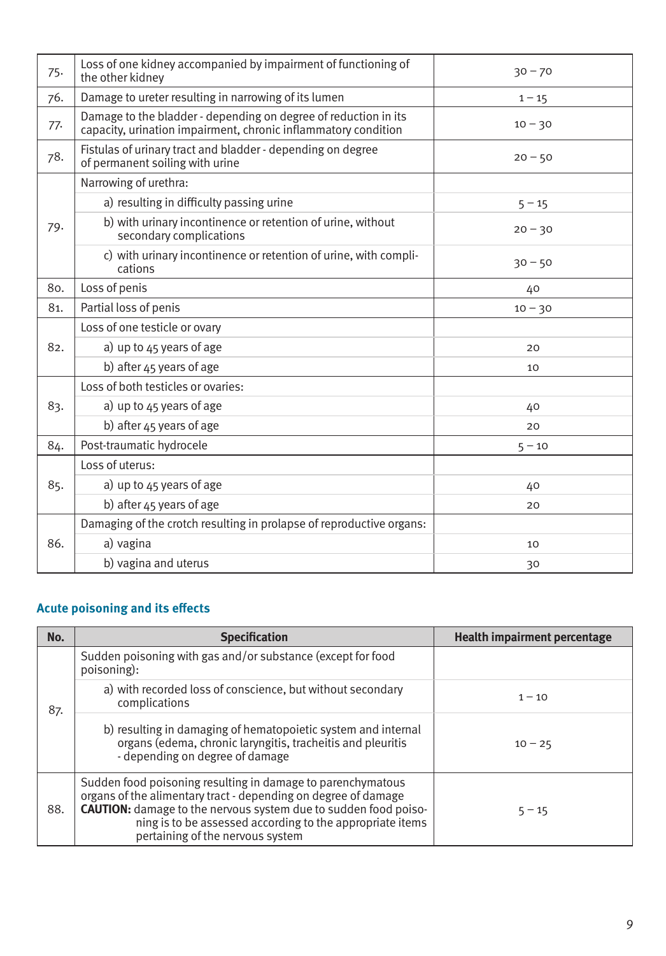| 75. | Loss of one kidney accompanied by impairment of functioning of<br>the other kidney                                                | $30 - 70$ |
|-----|-----------------------------------------------------------------------------------------------------------------------------------|-----------|
| 76. | Damage to ureter resulting in narrowing of its lumen                                                                              | $1 - 15$  |
| 77. | Damage to the bladder - depending on degree of reduction in its<br>capacity, urination impairment, chronic inflammatory condition | $10 - 30$ |
| 78. | Fistulas of urinary tract and bladder - depending on degree<br>of permanent soiling with urine                                    | $20 - 50$ |
|     | Narrowing of urethra:                                                                                                             |           |
|     | a) resulting in difficulty passing urine                                                                                          | $5 - 15$  |
| 79. | b) with urinary incontinence or retention of urine, without<br>secondary complications                                            | $20 - 30$ |
|     | c) with urinary incontinence or retention of urine, with compli-<br>cations                                                       | $30 - 50$ |
| 80. | Loss of penis                                                                                                                     | 40        |
| 81. | Partial loss of penis                                                                                                             | $10 - 30$ |
|     | Loss of one testicle or ovary                                                                                                     |           |
| 82. | a) up to $45$ years of age                                                                                                        | 20        |
|     | b) after 45 years of age                                                                                                          | 10        |
|     | Loss of both testicles or ovaries:                                                                                                |           |
| 83. | a) up to $45$ years of age                                                                                                        | 40        |
|     | b) after 45 years of age                                                                                                          | 20        |
| 84. | Post-traumatic hydrocele                                                                                                          | $5 - 10$  |
|     | Loss of uterus:                                                                                                                   |           |
| 85. | a) up to $45$ years of age                                                                                                        | 40        |
|     | b) after 45 years of age                                                                                                          | 20        |
|     | Damaging of the crotch resulting in prolapse of reproductive organs:                                                              |           |
| 86. | a) vagina                                                                                                                         | 10        |
|     | b) vagina and uterus                                                                                                              | 30        |

### **Acute poisoning and its effects**

| No. | <b>Specification</b>                                                                                                                                                                                                                                                                                     | <b>Health impairment percentage</b> |
|-----|----------------------------------------------------------------------------------------------------------------------------------------------------------------------------------------------------------------------------------------------------------------------------------------------------------|-------------------------------------|
|     | Sudden poisoning with gas and/or substance (except for food<br>poisoning):                                                                                                                                                                                                                               |                                     |
| 87. | a) with recorded loss of conscience, but without secondary<br>complications                                                                                                                                                                                                                              | $1 - 10$                            |
|     | b) resulting in damaging of hematopoietic system and internal<br>organs (edema, chronic laryngitis, tracheitis and pleuritis<br>- depending on degree of damage                                                                                                                                          | $10 - 25$                           |
| 88. | Sudden food poisoning resulting in damage to parenchymatous<br>organs of the alimentary tract - depending on degree of damage<br><b>CAUTION:</b> damage to the nervous system due to sudden food poiso-<br>ning is to be assessed according to the appropriate items<br>pertaining of the nervous system | $5 - 15$                            |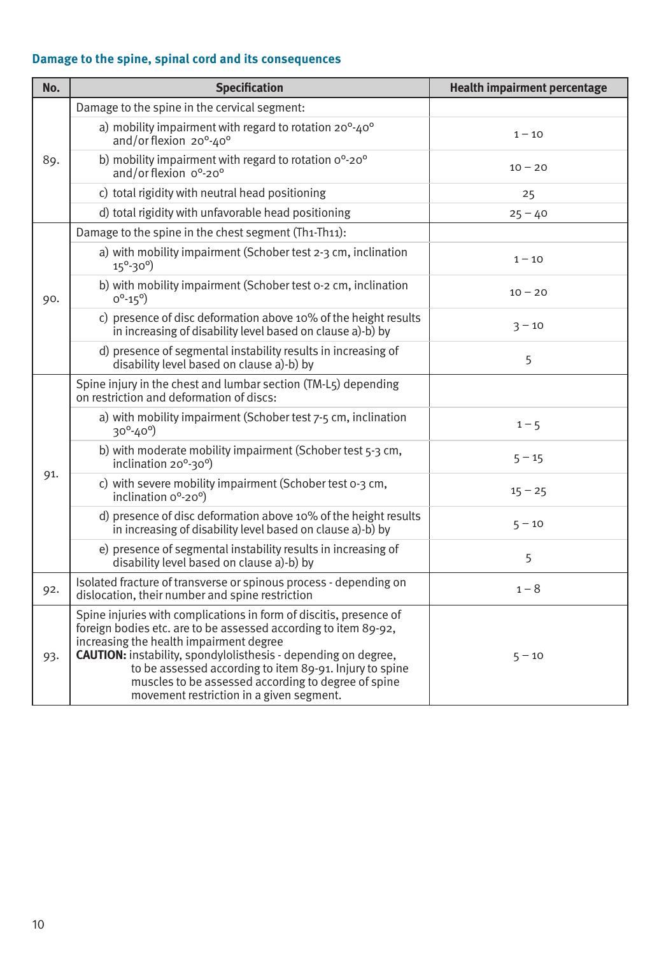# **Damage to the spine, spinal cord and its consequences**

| No. | <b>Specification</b>                                                                                                                                                                                                                                                                                                                                                                                                    | <b>Health impairment percentage</b> |
|-----|-------------------------------------------------------------------------------------------------------------------------------------------------------------------------------------------------------------------------------------------------------------------------------------------------------------------------------------------------------------------------------------------------------------------------|-------------------------------------|
|     | Damage to the spine in the cervical segment:                                                                                                                                                                                                                                                                                                                                                                            |                                     |
|     | a) mobility impairment with regard to rotation 20°-40°<br>and/or flexion 20°-40°                                                                                                                                                                                                                                                                                                                                        | $1 - 10$                            |
| 89. | b) mobility impairment with regard to rotation o°-20°<br>and/or flexion 0°-20°                                                                                                                                                                                                                                                                                                                                          | $10 - 20$                           |
|     | c) total rigidity with neutral head positioning                                                                                                                                                                                                                                                                                                                                                                         | 25                                  |
|     | d) total rigidity with unfavorable head positioning                                                                                                                                                                                                                                                                                                                                                                     | $25 - 40$                           |
|     | Damage to the spine in the chest segment (Th1-Th11):                                                                                                                                                                                                                                                                                                                                                                    |                                     |
|     | a) with mobility impairment (Schober test 2-3 cm, inclination<br>$15^{\circ} - 30^{\circ}$                                                                                                                                                                                                                                                                                                                              | $1 - 10$                            |
| 90. | b) with mobility impairment (Schober test o-2 cm, inclination<br>$0^0 - 15^0$                                                                                                                                                                                                                                                                                                                                           | $10 - 20$                           |
|     | c) presence of disc deformation above 10% of the height results<br>in increasing of disability level based on clause a)-b) by                                                                                                                                                                                                                                                                                           | $3 - 10$                            |
|     | d) presence of segmental instability results in increasing of<br>disability level based on clause a)-b) by                                                                                                                                                                                                                                                                                                              | 5                                   |
|     | Spine injury in the chest and lumbar section (TM-L5) depending<br>on restriction and deformation of discs:                                                                                                                                                                                                                                                                                                              |                                     |
|     | a) with mobility impairment (Schober test 7-5 cm, inclination<br>$30^{\circ} - 40^{\circ}$                                                                                                                                                                                                                                                                                                                              | $1 - 5$                             |
|     | b) with moderate mobility impairment (Schober test 5-3 cm,<br>inclination 20°-30°)                                                                                                                                                                                                                                                                                                                                      | $5 - 15$                            |
| 91. | c) with severe mobility impairment (Schober test o-3 cm,<br>inclination o°-20°)                                                                                                                                                                                                                                                                                                                                         | $15 - 25$                           |
|     | d) presence of disc deformation above 10% of the height results<br>in increasing of disability level based on clause a)-b) by                                                                                                                                                                                                                                                                                           | $5 - 10$                            |
|     | e) presence of segmental instability results in increasing of<br>disability level based on clause a)-b) by                                                                                                                                                                                                                                                                                                              | 5                                   |
| 92. | Isolated fracture of transverse or spinous process - depending on<br>dislocation, their number and spine restriction                                                                                                                                                                                                                                                                                                    | $1 - 8$                             |
| 93. | Spine injuries with complications in form of discitis, presence of<br>foreign bodies etc. are to be assessed according to item 89-92,<br>increasing the health impairment degree<br><b>CAUTION:</b> instability, spondylolisthesis - depending on degree,<br>to be assessed according to item 89-91. Injury to spine<br>muscles to be assessed according to degree of spine<br>movement restriction in a given segment. | $5 - 10$                            |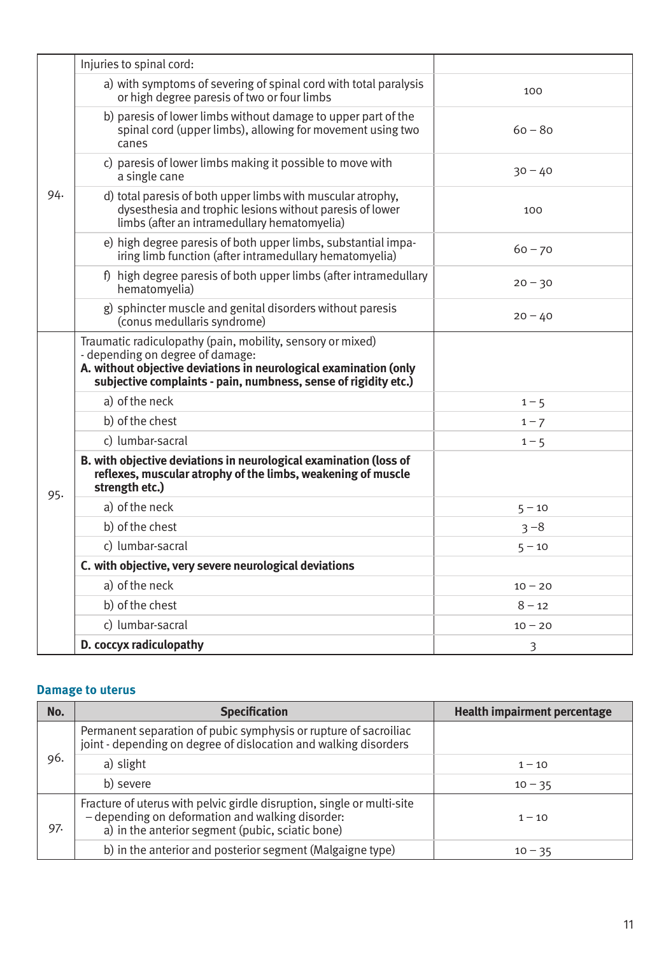|     | Injuries to spinal cord:                                                                                                                                                                                                               |           |
|-----|----------------------------------------------------------------------------------------------------------------------------------------------------------------------------------------------------------------------------------------|-----------|
|     | a) with symptoms of severing of spinal cord with total paralysis<br>or high degree paresis of two or four limbs                                                                                                                        | 100       |
|     | b) paresis of lower limbs without damage to upper part of the<br>spinal cord (upper limbs), allowing for movement using two<br>canes                                                                                                   | $60 - 80$ |
|     | c) paresis of lower limbs making it possible to move with<br>a single cane                                                                                                                                                             | $30 - 40$ |
| 94. | d) total paresis of both upper limbs with muscular atrophy,<br>dysesthesia and trophic lesions without paresis of lower<br>limbs (after an intramedullary hematomyelia)                                                                | 100       |
|     | e) high degree paresis of both upper limbs, substantial impa-<br>iring limb function (after intramedullary hematomyelia)                                                                                                               | $60 - 70$ |
|     | f) high degree paresis of both upper limbs (after intramedullary<br>hematomyelia)                                                                                                                                                      | $20 - 30$ |
|     | g) sphincter muscle and genital disorders without paresis<br>(conus medullaris syndrome)                                                                                                                                               | $20 - 40$ |
|     | Traumatic radiculopathy (pain, mobility, sensory or mixed)<br>- depending on degree of damage:<br>A. without objective deviations in neurological examination (only<br>subjective complaints - pain, numbness, sense of rigidity etc.) |           |
|     | a) of the neck                                                                                                                                                                                                                         | $1 - 5$   |
|     | b) of the chest                                                                                                                                                                                                                        | $1 - 7$   |
|     | c) lumbar-sacral                                                                                                                                                                                                                       | $1 - 5$   |
| 95. | B. with objective deviations in neurological examination (loss of<br>reflexes, muscular atrophy of the limbs, weakening of muscle<br>strength etc.)                                                                                    |           |
|     | a) of the neck                                                                                                                                                                                                                         | $5 - 10$  |
|     | b) of the chest                                                                                                                                                                                                                        | $3 - 8$   |
|     | c) lumbar-sacral                                                                                                                                                                                                                       | $5 - 10$  |
|     | C. with objective, very severe neurological deviations                                                                                                                                                                                 |           |
|     | a) of the neck                                                                                                                                                                                                                         | $10 - 20$ |
|     | b) of the chest                                                                                                                                                                                                                        | $8 - 12$  |
|     | c) lumbar-sacral                                                                                                                                                                                                                       | $10 - 20$ |
|     | D. coccyx radiculopathy                                                                                                                                                                                                                | 3         |

#### **Damage to uterus**

| No. | <b>Specification</b>                                                                                                                                                           | <b>Health impairment percentage</b> |
|-----|--------------------------------------------------------------------------------------------------------------------------------------------------------------------------------|-------------------------------------|
|     | Permanent separation of pubic symphysis or rupture of sacroiliac<br>joint - depending on degree of dislocation and walking disorders                                           |                                     |
| 96. | a) slight                                                                                                                                                                      | $1 - 10$                            |
|     | b) severe                                                                                                                                                                      | $10 - 35$                           |
| 97. | Fracture of uterus with pelvic girdle disruption, single or multi-site<br>- depending on deformation and walking disorder:<br>a) in the anterior segment (pubic, sciatic bone) | $1 - 10$                            |
|     | b) in the anterior and posterior segment (Malgaigne type)                                                                                                                      | $10 - 35$                           |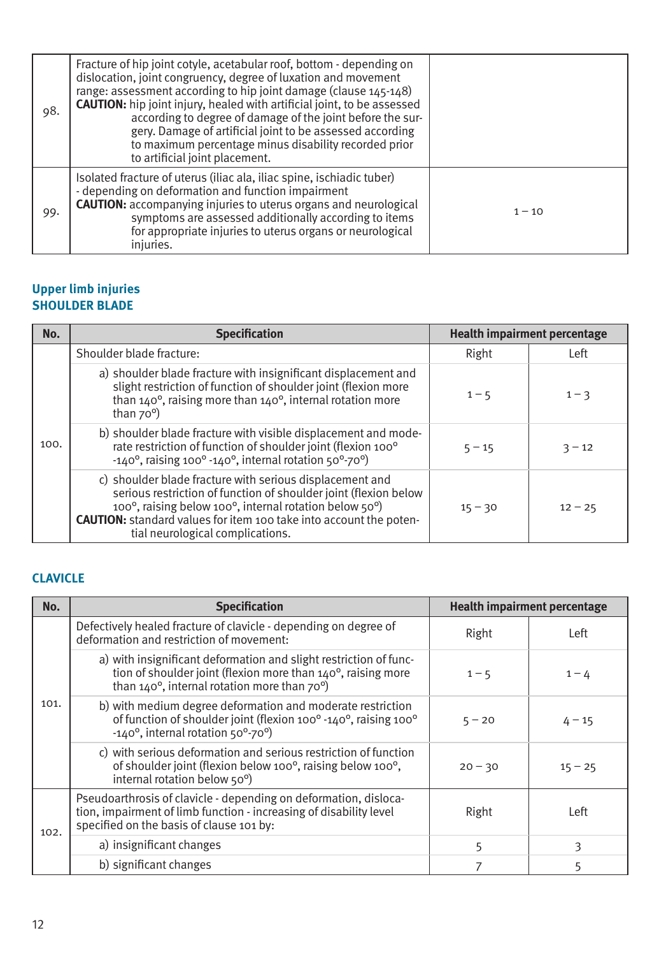| 98. | Fracture of hip joint cotyle, acetabular roof, bottom - depending on<br>dislocation, joint congruency, degree of luxation and movement<br>range: assessment according to hip joint damage (clause 145-148)<br><b>CAUTION:</b> hip joint injury, healed with artificial joint, to be assessed<br>according to degree of damage of the joint before the sur-<br>gery. Damage of artificial joint to be assessed according<br>to maximum percentage minus disability recorded prior<br>to artificial joint placement. |          |
|-----|--------------------------------------------------------------------------------------------------------------------------------------------------------------------------------------------------------------------------------------------------------------------------------------------------------------------------------------------------------------------------------------------------------------------------------------------------------------------------------------------------------------------|----------|
| 99. | Isolated fracture of uterus (iliac ala, iliac spine, ischiadic tuber)<br>- depending on deformation and function impairment<br><b>CAUTION:</b> accompanying injuries to uterus organs and neurological<br>symptoms are assessed additionally according to items<br>for appropriate injuries to uterus organs or neurological<br>injuries.                                                                                                                                                                          | $1 - 10$ |

#### **Upper limb injuries SHOULDER BLADE**

| No.  | <b>Specification</b>                                                                                                                                                                                                                                                                                    |           | <b>Health impairment percentage</b> |
|------|---------------------------------------------------------------------------------------------------------------------------------------------------------------------------------------------------------------------------------------------------------------------------------------------------------|-----------|-------------------------------------|
| 100. | Shoulder blade fracture:                                                                                                                                                                                                                                                                                | Right     | Left                                |
|      | a) shoulder blade fracture with insignificant displacement and<br>slight restriction of function of shoulder joint (flexion more<br>than $140^\circ$ , raising more than $140^\circ$ , internal rotation more<br>than $70^\circ$ )                                                                      | $1 - 5$   | $1 - 3$                             |
|      | b) shoulder blade fracture with visible displacement and mode-<br>rate restriction of function of shoulder joint (flexion 100°<br>$-140^\circ$ , raising 100 $^\circ$ -140 $^\circ$ , internal rotation 50 $^\circ$ -70 $^\circ$ )                                                                      | $5 - 15$  | $3 - 12$                            |
|      | c) shoulder blade fracture with serious displacement and<br>serious restriction of function of shoulder joint (flexion below<br>100°, raising below 100°, internal rotation below 50°)<br><b>CAUTION:</b> standard values for item 100 take into account the poten-<br>tial neurological complications. | $15 - 30$ | $12 - 25$                           |

# **CLAVICLE**

| No.  | <b>Specification</b>                                                                                                                                                               |           | Health impairment percentage |
|------|------------------------------------------------------------------------------------------------------------------------------------------------------------------------------------|-----------|------------------------------|
|      | Defectively healed fracture of clavicle - depending on degree of<br>deformation and restriction of movement:                                                                       | Right     | Left                         |
|      | a) with insignificant deformation and slight restriction of func-<br>tion of shoulder joint (flexion more than 140°, raising more<br>than 140°, internal rotation more than 70°)   | $1 - 5$   | $1 - 4$                      |
| 101. | b) with medium degree deformation and moderate restriction<br>of function of shoulder joint (flexion 100° -140°, raising 100°<br>-140°, internal rotation 50°-70°)                 | $5 - 20$  | $4 - 15$                     |
|      | c) with serious deformation and serious restriction of function<br>of shoulder joint (flexion below 100°, raising below 100°,<br>internal rotation below 50°)                      | $20 - 30$ | $15 - 25$                    |
| 102. | Pseudoarthrosis of clavicle - depending on deformation, disloca-<br>tion, impairment of limb function - increasing of disability level<br>specified on the basis of clause 101 by: | Right     | Left                         |
|      | a) insignificant changes                                                                                                                                                           | 5         | 3                            |
|      | b) significant changes                                                                                                                                                             |           | 5                            |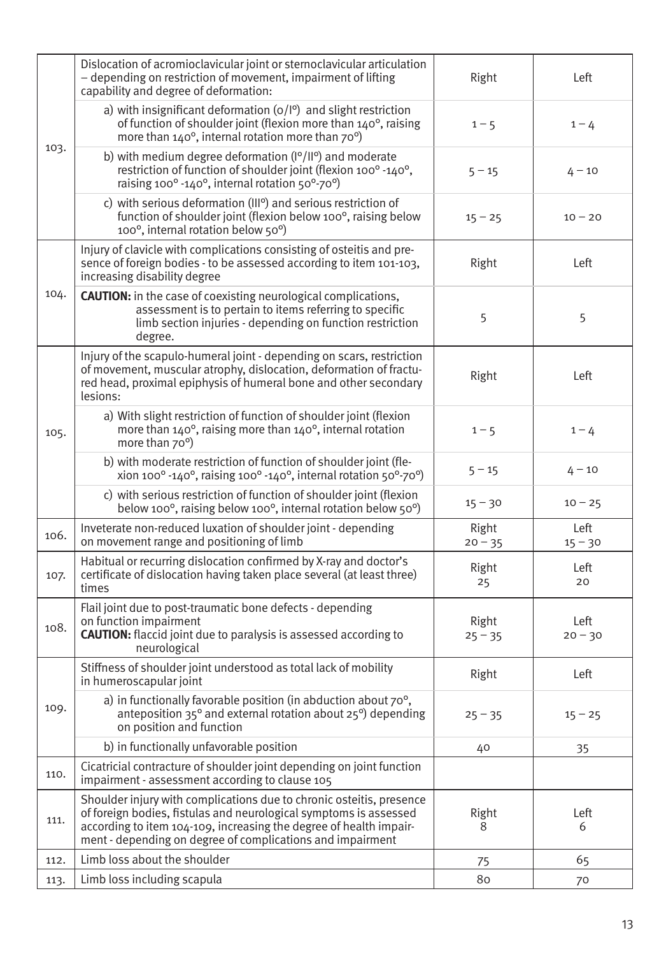|      | Dislocation of acromioclavicular joint or sternoclavicular articulation<br>- depending on restriction of movement, impairment of lifting<br>capability and degree of deformation:                                                                                             | Right              | Left              |
|------|-------------------------------------------------------------------------------------------------------------------------------------------------------------------------------------------------------------------------------------------------------------------------------|--------------------|-------------------|
|      | a) with insignificant deformation $(o/I^o)$ and slight restriction<br>of function of shoulder joint (flexion more than 140°, raising<br>more than 140°, internal rotation more than 70°)                                                                                      | $1 - 5$            | $1 - 4$           |
| 103. | b) with medium degree deformation $(1^{\circ}/11^{\circ})$ and moderate<br>restriction of function of shoulder joint (flexion 100° -140°,<br>raising 100° -140°, internal rotation 50°-70°)                                                                                   | $5 - 15$           | $4 - 10$          |
|      | c) with serious deformation (III <sup>o</sup> ) and serious restriction of<br>function of shoulder joint (flexion below 100°, raising below<br>100°, internal rotation below 50°)                                                                                             | $15 - 25$          | $10 - 20$         |
|      | Injury of clavicle with complications consisting of osteitis and pre-<br>sence of foreign bodies - to be assessed according to item 101-103,<br>increasing disability degree                                                                                                  | Right              | Left              |
| 104. | <b>CAUTION:</b> in the case of coexisting neurological complications,<br>assessment is to pertain to items referring to specific<br>limb section injuries - depending on function restriction<br>degree.                                                                      | 5                  | 5                 |
|      | Injury of the scapulo-humeral joint - depending on scars, restriction<br>of movement, muscular atrophy, dislocation, deformation of fractu-<br>red head, proximal epiphysis of humeral bone and other secondary<br>lesions:                                                   | Right              | Left              |
| 105. | a) With slight restriction of function of shoulder joint (flexion<br>more than $140^{\circ}$ , raising more than $140^{\circ}$ , internal rotation<br>more than 70°)                                                                                                          | $1 - 5$            | $1 - 4$           |
|      | b) with moderate restriction of function of shoulder joint (fle-<br>xion 100 $^{\circ}$ -140 $^{\circ}$ , raising 100 $^{\circ}$ -140 $^{\circ}$ , internal rotation 50 $^{\circ}$ -70 $^{\circ}$ )                                                                           | $5 - 15$           | $4 - 10$          |
|      | c) with serious restriction of function of shoulder joint (flexion<br>below 100°, raising below 100°, internal rotation below 50°)                                                                                                                                            | $15 - 30$          | $10 - 25$         |
| 106. | Inveterate non-reduced luxation of shoulder joint - depending<br>on movement range and positioning of limb                                                                                                                                                                    | Right<br>$20 - 35$ | Left<br>$15 - 30$ |
| 107. | Habitual or recurring dislocation confirmed by X-ray and doctor's<br>certificate of dislocation having taken place several (at least three)<br>times                                                                                                                          | Right<br>25        | Left<br>20        |
| 108. | Flail joint due to post-traumatic bone defects - depending<br>on function impairment<br><b>CAUTION:</b> flaccid joint due to paralysis is assessed according to<br>neurological                                                                                               | Right<br>$25 - 35$ | Left<br>$20 - 30$ |
|      | Stiffness of shoulder joint understood as total lack of mobility<br>in humeroscapular joint                                                                                                                                                                                   | Right              | Left              |
| 109. | a) in functionally favorable position (in abduction about 70°,<br>anteposition $35^{\circ}$ and external rotation about $25^{\circ}$ ) depending<br>on position and function                                                                                                  | $25 - 35$          | $15 - 25$         |
|      | b) in functionally unfavorable position                                                                                                                                                                                                                                       | 40                 | 35                |
| 110. | Cicatricial contracture of shoulder joint depending on joint function<br>impairment - assessment according to clause 105                                                                                                                                                      |                    |                   |
| 111. | Shoulder injury with complications due to chronic osteitis, presence<br>of foreign bodies, fistulas and neurological symptoms is assessed<br>according to item 104-109, increasing the degree of health impair-<br>ment - depending on degree of complications and impairment | Right<br>8         | Left<br>6         |
| 112. | Limb loss about the shoulder                                                                                                                                                                                                                                                  | 75                 | 65                |
| 113. | Limb loss including scapula                                                                                                                                                                                                                                                   | 80                 | 70                |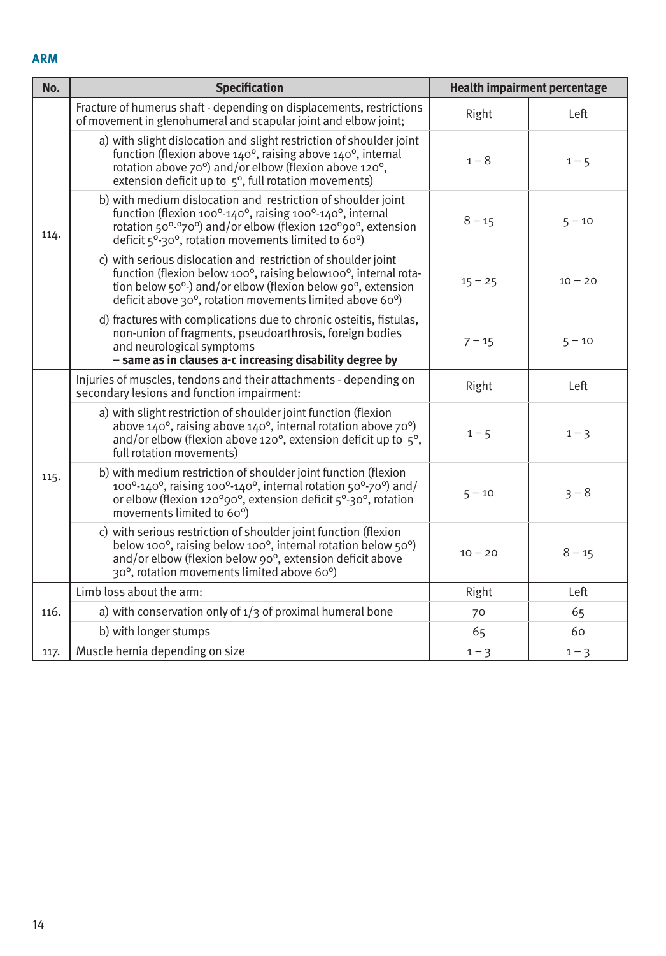#### **ARM**

| No.  | <b>Specification</b>                                                                                                                                                                                                                                                                                |           | <b>Health impairment percentage</b> |
|------|-----------------------------------------------------------------------------------------------------------------------------------------------------------------------------------------------------------------------------------------------------------------------------------------------------|-----------|-------------------------------------|
|      | Fracture of humerus shaft - depending on displacements, restrictions<br>of movement in glenohumeral and scapular joint and elbow joint;                                                                                                                                                             | Right     | Left                                |
|      | a) with slight dislocation and slight restriction of shoulder joint<br>function (flexion above $140^\circ$ , raising above $140^\circ$ , internal<br>rotation above 70°) and/or elbow (flexion above 120°,<br>extension deficit up to $5^\circ$ , full rotation movements)                          | $1 - 8$   | $1 - 5$                             |
| 114. | b) with medium dislocation and restriction of shoulder joint<br>function (flexion 100 $^{\circ}$ -140 $^{\circ}$ , raising 100 $^{\circ}$ -140 $^{\circ}$ , internal<br>rotation 50°-°70°) and/or elbow (flexion 120°90°, extension<br>deficit $5^{\circ}$ -30°, rotation movements limited to 60°) | $8 - 15$  | $5 - 10$                            |
|      | c) with serious dislocation and restriction of shoulder joint<br>function (flexion below 100°, raising below100°, internal rota-<br>tion below 50 <sup>o</sup> -) and/or elbow (flexion below 90 <sup>o</sup> , extension<br>deficit above 30°, rotation movements limited above 60°)               | $15 - 25$ | $10 - 20$                           |
|      | d) fractures with complications due to chronic osteitis, fistulas,<br>non-union of fragments, pseudoarthrosis, foreign bodies<br>and neurological symptoms<br>- same as in clauses a-c increasing disability degree by                                                                              | $7 - 15$  | $5 - 10$                            |
|      | Injuries of muscles, tendons and their attachments - depending on<br>secondary lesions and function impairment:                                                                                                                                                                                     | Right     | Left                                |
| 115. | a) with slight restriction of shoulder joint function (flexion<br>above 140°, raising above 140°, internal rotation above 70°)<br>and/or elbow (flexion above 120 $\degree$ , extension deficit up to $\frac{1}{2}\degree$ ,<br>full rotation movements)                                            | $1 - 5$   | $1 - 3$                             |
|      | b) with medium restriction of shoulder joint function (flexion<br>$100^{\circ}$ -140°, raising 100°-140°, internal rotation 50°-70°) and/<br>or elbow (flexion 120°90°, extension deficit 5°-30°, rotation<br>movements limited to 60°)                                                             | $5 - 10$  | $3 - 8$                             |
|      | c) with serious restriction of shoulder joint function (flexion<br>below 100°, raising below 100°, internal rotation below 50°)<br>and/or elbow (flexion below 90°, extension deficit above<br>30°, rotation movements limited above 60°)                                                           | $10 - 20$ | $8 - 15$                            |
|      | Limb loss about the arm:                                                                                                                                                                                                                                                                            | Right     | Left                                |
| 116. | a) with conservation only of $1/3$ of proximal humeral bone                                                                                                                                                                                                                                         | 70        | 65                                  |
|      | b) with longer stumps                                                                                                                                                                                                                                                                               | 65        | 60                                  |
| 117. | Muscle hernia depending on size                                                                                                                                                                                                                                                                     | $1 - 3$   | $1 - 3$                             |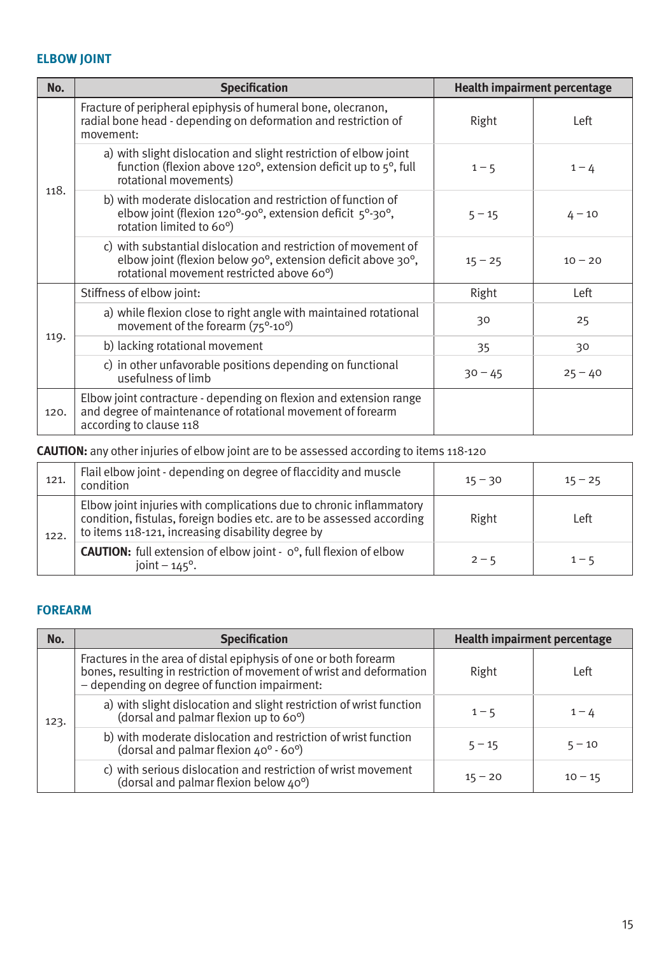### **ELBOW JOINT**

| No.  | <b>Specification</b>                                                                                                                                                                           |           | <b>Health impairment percentage</b> |
|------|------------------------------------------------------------------------------------------------------------------------------------------------------------------------------------------------|-----------|-------------------------------------|
|      | Fracture of peripheral epiphysis of humeral bone, olecranon,<br>radial bone head - depending on deformation and restriction of<br>movement:                                                    | Right     | Left                                |
|      | a) with slight dislocation and slight restriction of elbow joint<br>function (flexion above 120 $\degree$ , extension deficit up to $5\degree$ , full<br>rotational movements)                 | $1 - 5$   | $1 - 4$                             |
| 118. | b) with moderate dislocation and restriction of function of<br>elbow joint (flexion 120 $^{\circ}$ -90 $^{\circ}$ , extension deficit $5^{\circ}$ -30 $^{\circ}$ ,<br>rotation limited to 60°) | $5 - 15$  | $4 - 10$                            |
|      | c) with substantial dislocation and restriction of movement of<br>elbow joint (flexion below 90°, extension deficit above 30°,<br>rotational movement restricted above 60°)                    | $15 - 25$ | $10 - 20$                           |
|      | Stiffness of elbow joint:                                                                                                                                                                      | Right     | Left                                |
|      | a) while flexion close to right angle with maintained rotational<br>movement of the forearm (75°-10°)                                                                                          | 30        | 25                                  |
| 119. | b) lacking rotational movement                                                                                                                                                                 | 35        | 30                                  |
|      | c) in other unfavorable positions depending on functional<br>usefulness of limb                                                                                                                | $30 - 45$ | $25 - 40$                           |
| 120. | Elbow joint contracture - depending on flexion and extension range<br>and degree of maintenance of rotational movement of forearm<br>according to clause 118                                   |           |                                     |

### **CAUTION:** any other injuries of elbow joint are to be assessed according to items 118-120

| 121. | Flail elbow joint - depending on degree of flaccidity and muscle<br>condition                                                                                                                     | $15 - 30$ | $15 - 25$ |
|------|---------------------------------------------------------------------------------------------------------------------------------------------------------------------------------------------------|-----------|-----------|
| 122. | Elbow joint injuries with complications due to chronic inflammatory<br>condition, fistulas, foreign bodies etc. are to be assessed according<br>to items 118-121, increasing disability degree by | Right     | Left      |
|      | <b>CAUTION:</b> full extension of elbow joint - $o^{\circ}$ , full flexion of elbow<br>joint $-145^\circ$ .                                                                                       | $2 - 5$   | $1 - 5$   |

### **FOREARM**

| No.  | <b>Specification</b>                                                                                                                                                                      |           | <b>Health impairment percentage</b> |
|------|-------------------------------------------------------------------------------------------------------------------------------------------------------------------------------------------|-----------|-------------------------------------|
| 123. | Fractures in the area of distal epiphysis of one or both forearm<br>bones, resulting in restriction of movement of wrist and deformation<br>- depending on degree of function impairment: | Right     | Left                                |
|      | a) with slight dislocation and slight restriction of wrist function<br>(dorsal and palmar flexion up to 60°)                                                                              | $1 - 5$   | $1 - 4$                             |
|      | b) with moderate dislocation and restriction of wrist function<br>(dorsal and palmar flexion $40^{\circ}$ - 60°)                                                                          | $5 - 15$  | $5 - 10$                            |
|      | c) with serious dislocation and restriction of wrist movement<br>(dorsal and palmar flexion below $40^{\circ}$ )                                                                          | $15 - 20$ | $10 - 15$                           |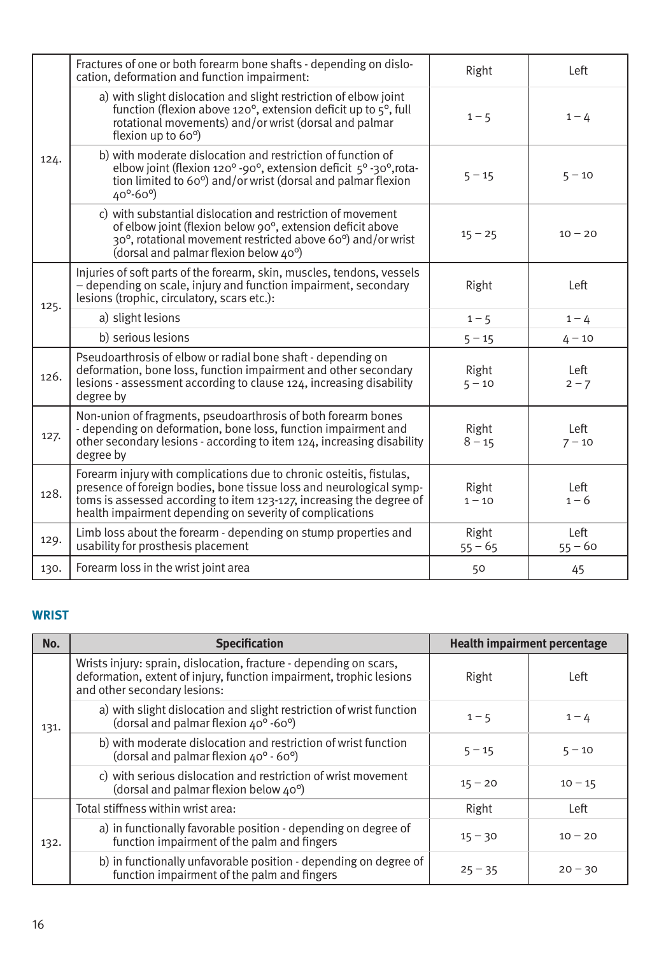|      | Fractures of one or both forearm bone shafts - depending on dislo-<br>cation, deformation and function impairment:                                                                                                                                                              | Right              | Left              |
|------|---------------------------------------------------------------------------------------------------------------------------------------------------------------------------------------------------------------------------------------------------------------------------------|--------------------|-------------------|
|      | a) with slight dislocation and slight restriction of elbow joint<br>function (flexion above 120 $\degree$ , extension deficit up to $5\degree$ , full<br>rotational movements) and/or wrist (dorsal and palmar<br>flexion up to 60°)                                            | $1 - 5$            | $1 - 4$           |
| 124. | b) with moderate dislocation and restriction of function of<br>elbow joint (flexion 120° -90°, extension deficit 5° -30°, rota-<br>tion limited to 60°) and/or wrist (dorsal and palmar flexion<br>$40^{\circ} - 60^{\circ}$                                                    | $5 - 15$           | $5 - 10$          |
|      | c) with substantial dislocation and restriction of movement<br>of elbow joint (flexion below 90°, extension deficit above<br>30°, rotational movement restricted above 60°) and/or wrist<br>(dorsal and palmar flexion below 40°)                                               | $15 - 25$          | $10 - 20$         |
| 125. | Injuries of soft parts of the forearm, skin, muscles, tendons, vessels<br>- depending on scale, injury and function impairment, secondary<br>lesions (trophic, circulatory, scars etc.):                                                                                        | Right              | Left              |
|      | a) slight lesions                                                                                                                                                                                                                                                               | $1 - 5$            | $1 - 4$           |
|      | b) serious lesions                                                                                                                                                                                                                                                              | $5 - 15$           | $4 - 10$          |
| 126. | Pseudoarthrosis of elbow or radial bone shaft - depending on<br>deformation, bone loss, function impairment and other secondary<br>lesions - assessment according to clause 124, increasing disability<br>degree by                                                             | Right<br>$5 - 10$  | Left<br>$2 - 7$   |
| 127. | Non-union of fragments, pseudoarthrosis of both forearm bones<br>- depending on deformation, bone loss, function impairment and<br>other secondary lesions - according to item 124, increasing disability<br>degree by                                                          | Right<br>$8 - 15$  | Left<br>$7 - 10$  |
| 128. | Forearm injury with complications due to chronic osteitis, fistulas,<br>presence of foreign bodies, bone tissue loss and neurological symp-<br>toms is assessed according to item 123-127, increasing the degree of<br>health impairment depending on severity of complications | Right<br>$1 - 10$  | Left<br>$1 - 6$   |
| 129. | Limb loss about the forearm - depending on stump properties and<br>usability for prosthesis placement                                                                                                                                                                           | Right<br>$55 - 65$ | Left<br>$55 - 60$ |
| 130. | Forearm loss in the wrist joint area                                                                                                                                                                                                                                            | 50                 | 45                |
|      |                                                                                                                                                                                                                                                                                 |                    |                   |

#### **WRIST**

| No.  | <b>Specification</b>                                                                                                                                                      | <b>Health impairment percentage</b> |           |
|------|---------------------------------------------------------------------------------------------------------------------------------------------------------------------------|-------------------------------------|-----------|
|      | Wrists injury: sprain, dislocation, fracture - depending on scars,<br>deformation, extent of injury, function impairment, trophic lesions<br>and other secondary lesions: | Right                               | Left      |
| 131. | a) with slight dislocation and slight restriction of wrist function<br>(dorsal and palmar flexion 40° -60°)                                                               | $1 - 5$                             | $1 - 4$   |
|      | b) with moderate dislocation and restriction of wrist function<br>(dorsal and palmar flexion 40° - 60°)                                                                   | $5 - 15$                            | $5 - 10$  |
|      | c) with serious dislocation and restriction of wrist movement<br>(dorsal and palmar flexion below 40°)                                                                    | $15 - 20$                           | $10 - 15$ |
|      | Total stiffness within wrist area:                                                                                                                                        | Right                               | Left      |
| 132. | a) in functionally favorable position - depending on degree of<br>function impairment of the palm and fingers                                                             | $15 - 30$                           | $10 - 20$ |
|      | b) in functionally unfavorable position - depending on degree of<br>function impairment of the palm and fingers                                                           | $25 - 35$                           | $20 - 30$ |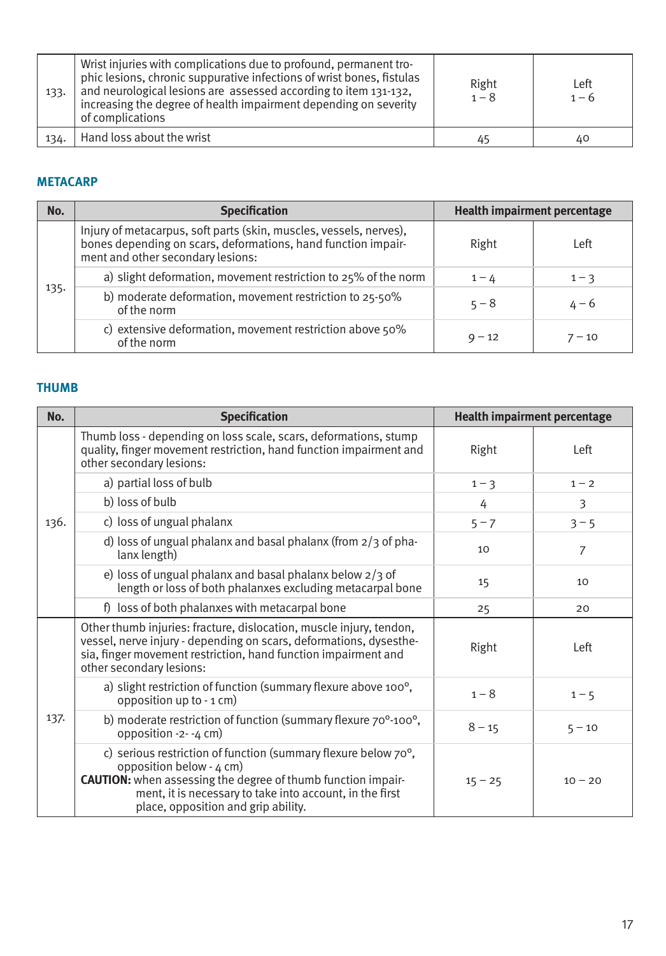| 133. | Wrist injuries with complications due to profound, permanent tro-<br>phic lesions, chronic suppurative infections of wrist bones, fistulas<br>and neurological lesions are assessed according to item 131-132,<br>increasing the degree of health impairment depending on severity<br>of complications | Right<br>$1 - 8$ | Left<br>$1 - 6$ |
|------|--------------------------------------------------------------------------------------------------------------------------------------------------------------------------------------------------------------------------------------------------------------------------------------------------------|------------------|-----------------|
| 134. | Hand loss about the wrist                                                                                                                                                                                                                                                                              | 45               | 40              |

# **METACARP**

| No.  | <b>Specification</b>                                                                                                                                                     |          | Health impairment percentage |
|------|--------------------------------------------------------------------------------------------------------------------------------------------------------------------------|----------|------------------------------|
| 135. | Injury of metacarpus, soft parts (skin, muscles, vessels, nerves),<br>bones depending on scars, deformations, hand function impair-<br>ment and other secondary lesions: | Right    | Left                         |
|      | a) slight deformation, movement restriction to 25% of the norm                                                                                                           | $1 - 4$  | $1 - 3$                      |
|      | b) moderate deformation, movement restriction to 25-50%<br>of the norm                                                                                                   | $5 - 8$  | $4 - 6$                      |
|      | c) extensive deformation, movement restriction above 50%<br>of the norm                                                                                                  | $9 - 12$ | $7 - 10$                     |

### **THUMB**

| No.  | <b>Specification</b>                                                                                                                                                                                                                                                            |           | <b>Health impairment percentage</b> |
|------|---------------------------------------------------------------------------------------------------------------------------------------------------------------------------------------------------------------------------------------------------------------------------------|-----------|-------------------------------------|
|      | Thumb loss - depending on loss scale, scars, deformations, stump<br>quality, finger movement restriction, hand function impairment and<br>other secondary lesions:                                                                                                              | Right     | Left                                |
|      | a) partial loss of bulb                                                                                                                                                                                                                                                         | $1 - 3$   | $1 - 2$                             |
|      | b) loss of bulb                                                                                                                                                                                                                                                                 | 4         | 3                                   |
| 136. | c) loss of ungual phalanx                                                                                                                                                                                                                                                       | $5 - 7$   | $3 - 5$                             |
|      | d) loss of ungual phalanx and basal phalanx (from $2/3$ of pha-<br>lanx length)                                                                                                                                                                                                 | 10        | $\overline{7}$                      |
|      | e) loss of ungual phalanx and basal phalanx below $2/3$ of<br>length or loss of both phalanxes excluding metacarpal bone                                                                                                                                                        | 15        | 10                                  |
|      | f) loss of both phalanxes with metacarpal bone                                                                                                                                                                                                                                  | 25        | 20                                  |
|      | Other thumb injuries: fracture, dislocation, muscle injury, tendon,<br>vessel, nerve injury - depending on scars, deformations, dysesthe-<br>sia, finger movement restriction, hand function impairment and<br>other secondary lesions:                                         | Right     | Left                                |
|      | a) slight restriction of function (summary flexure above 100°,<br>opposition up to - 1 cm)                                                                                                                                                                                      | $1 - 8$   | $1 - 5$                             |
| 137. | b) moderate restriction of function (summary flexure 70 <sup>o</sup> -100 <sup>o</sup> ,<br>opposition -2- -4 cm)                                                                                                                                                               | $8 - 15$  | $5 - 10$                            |
|      | c) serious restriction of function (summary flexure below $70^{\circ}$ ,<br>opposition below $-4$ cm)<br><b>CAUTION:</b> when assessing the degree of thumb function impair-<br>ment, it is necessary to take into account, in the first<br>place, opposition and grip ability. | $15 - 25$ | $10 - 20$                           |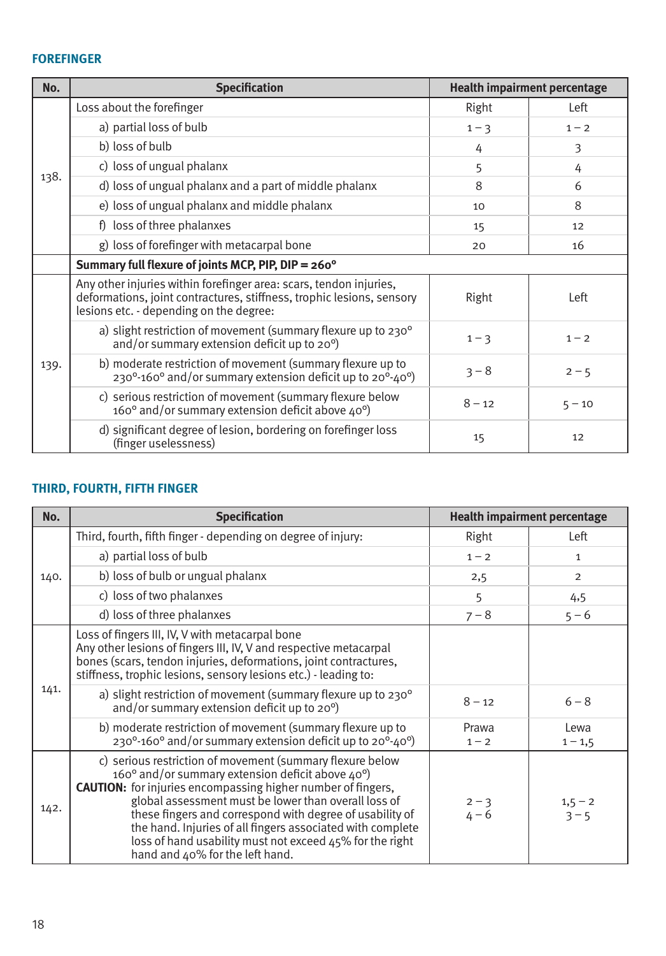# **FOREFINGER**

| No.  | <b>Specification</b>                                                                                                                                                                   |          | <b>Health impairment percentage</b> |
|------|----------------------------------------------------------------------------------------------------------------------------------------------------------------------------------------|----------|-------------------------------------|
|      | Loss about the forefinger                                                                                                                                                              | Right    | Left                                |
|      | a) partial loss of bulb                                                                                                                                                                | $1 - 3$  | $1 - 2$                             |
|      | b) loss of bulb                                                                                                                                                                        | 4        | 3                                   |
|      | c) loss of ungual phalanx                                                                                                                                                              | 5        | 4                                   |
| 138. | d) loss of ungual phalanx and a part of middle phalanx                                                                                                                                 | 8        | 6                                   |
|      | e) loss of ungual phalanx and middle phalanx                                                                                                                                           | 10       | 8                                   |
|      | f) loss of three phalanxes                                                                                                                                                             | 15       | 12                                  |
|      | g) loss of forefinger with metacarpal bone                                                                                                                                             | 20       | 16                                  |
|      | Summary full flexure of joints MCP, PIP, DIP = 260°                                                                                                                                    |          |                                     |
| 139. | Any other injuries within forefinger area: scars, tendon injuries,<br>deformations, joint contractures, stiffness, trophic lesions, sensory<br>lesions etc. - depending on the degree: | Right    | Left                                |
|      | a) slight restriction of movement (summary flexure up to 230 <sup>°</sup><br>and/or summary extension deficit up to 20 <sup>o</sup> )                                                  | $1 - 3$  | $1 - 2$                             |
|      | b) moderate restriction of movement (summary flexure up to<br>$230^{\circ}$ -160° and/or summary extension deficit up to $20^{\circ}$ -40°)                                            | $3 - 8$  | $2 - 5$                             |
|      | c) serious restriction of movement (summary flexure below<br>160° and/or summary extension deficit above 40°)                                                                          | $8 - 12$ | $5 - 10$                            |
|      | d) significant degree of lesion, bordering on forefinger loss<br>(finger uselessness)                                                                                                  | 15       | 12                                  |

### **THIRD, FOURTH, FIFTH FINGER**

| No.  | <b>Specification</b>                                                                                                                                                                                                                                                                                                                                                                                                                                                                       |                    | <b>Health impairment percentage</b> |
|------|--------------------------------------------------------------------------------------------------------------------------------------------------------------------------------------------------------------------------------------------------------------------------------------------------------------------------------------------------------------------------------------------------------------------------------------------------------------------------------------------|--------------------|-------------------------------------|
| 140. | Third, fourth, fifth finger - depending on degree of injury:                                                                                                                                                                                                                                                                                                                                                                                                                               | Right              | Left                                |
|      | a) partial loss of bulb                                                                                                                                                                                                                                                                                                                                                                                                                                                                    | $1 - 2$            | $\mathbf{1}$                        |
|      | b) loss of bulb or ungual phalanx                                                                                                                                                                                                                                                                                                                                                                                                                                                          | 2,5                | $\overline{2}$                      |
|      | c) loss of two phalanxes                                                                                                                                                                                                                                                                                                                                                                                                                                                                   | 5                  | 4,5                                 |
|      | d) loss of three phalanxes                                                                                                                                                                                                                                                                                                                                                                                                                                                                 | $7 - 8$            | $5 - 6$                             |
| 141. | Loss of fingers III, IV, V with metacarpal bone<br>Any other lesions of fingers III, IV, V and respective metacarpal<br>bones (scars, tendon injuries, deformations, joint contractures,<br>stiffness, trophic lesions, sensory lesions etc.) - leading to:                                                                                                                                                                                                                                |                    |                                     |
|      | a) slight restriction of movement (summary flexure up to 230 <sup>°</sup><br>and/or summary extension deficit up to 20°)                                                                                                                                                                                                                                                                                                                                                                   | $8 - 12$           | $6 - 8$                             |
|      | b) moderate restriction of movement (summary flexure up to<br>230°-160° and/or summary extension deficit up to 20°-40°)                                                                                                                                                                                                                                                                                                                                                                    | Prawa<br>$1 - 2$   | Lewa<br>$1 - 1, 5$                  |
| 142. | c) serious restriction of movement (summary flexure below<br>160 $^{\circ}$ and/or summary extension deficit above 40 $^{\circ}$ )<br><b>CAUTION:</b> for injuries encompassing higher number of fingers,<br>global assessment must be lower than overall loss of<br>these fingers and correspond with degree of usability of<br>the hand. Injuries of all fingers associated with complete<br>loss of hand usability must not exceed 45% for the right<br>hand and 40% for the left hand. | $2 - 3$<br>$4 - 6$ | $1,5 - 2$<br>$3 - 5$                |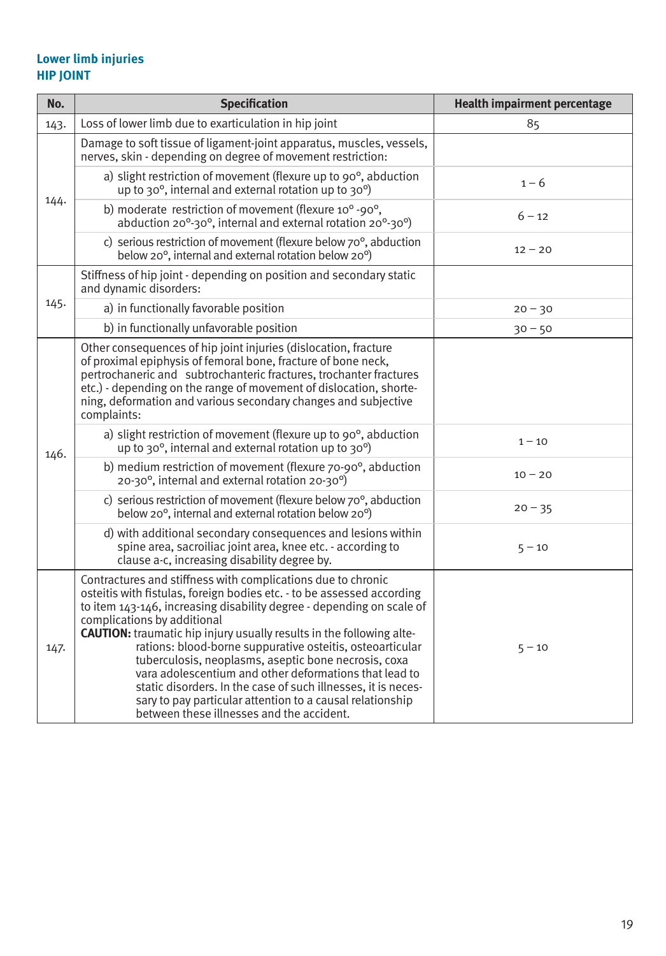#### **Lower limb injuries HIP JOINT**

| No.  | <b>Specification</b>                                                                                                                                                                                                                                                                                                                                                                                                                                                                                                                                                                                                                                                                    | <b>Health impairment percentage</b> |
|------|-----------------------------------------------------------------------------------------------------------------------------------------------------------------------------------------------------------------------------------------------------------------------------------------------------------------------------------------------------------------------------------------------------------------------------------------------------------------------------------------------------------------------------------------------------------------------------------------------------------------------------------------------------------------------------------------|-------------------------------------|
| 143. | Loss of lower limb due to exarticulation in hip joint                                                                                                                                                                                                                                                                                                                                                                                                                                                                                                                                                                                                                                   | 85                                  |
| 144. | Damage to soft tissue of ligament-joint apparatus, muscles, vessels,<br>nerves, skin - depending on degree of movement restriction:                                                                                                                                                                                                                                                                                                                                                                                                                                                                                                                                                     |                                     |
|      | a) slight restriction of movement (flexure up to 90°, abduction<br>up to 30 $^{\circ}$ , internal and external rotation up to 30 $^{\circ}$ )                                                                                                                                                                                                                                                                                                                                                                                                                                                                                                                                           | $1 - 6$                             |
|      | b) moderate restriction of movement (flexure 10° -90°,<br>abduction 20°-30°, internal and external rotation 20°-30°)                                                                                                                                                                                                                                                                                                                                                                                                                                                                                                                                                                    | $6 - 12$                            |
|      | c) serious restriction of movement (flexure below 70°, abduction<br>below 20°, internal and external rotation below 20°)                                                                                                                                                                                                                                                                                                                                                                                                                                                                                                                                                                | $12 - 20$                           |
|      | Stiffness of hip joint - depending on position and secondary static<br>and dynamic disorders:                                                                                                                                                                                                                                                                                                                                                                                                                                                                                                                                                                                           |                                     |
| 145. | a) in functionally favorable position                                                                                                                                                                                                                                                                                                                                                                                                                                                                                                                                                                                                                                                   | $20 - 30$                           |
|      | b) in functionally unfavorable position                                                                                                                                                                                                                                                                                                                                                                                                                                                                                                                                                                                                                                                 | $30 - 50$                           |
|      | Other consequences of hip joint injuries (dislocation, fracture<br>of proximal epiphysis of femoral bone, fracture of bone neck,<br>pertrochaneric and subtrochanteric fractures, trochanter fractures<br>etc.) - depending on the range of movement of dislocation, shorte-<br>ning, deformation and various secondary changes and subjective<br>complaints:                                                                                                                                                                                                                                                                                                                           |                                     |
| 146. | a) slight restriction of movement (flexure up to 90°, abduction<br>up to 30°, internal and external rotation up to 30°)                                                                                                                                                                                                                                                                                                                                                                                                                                                                                                                                                                 | $1 - 10$                            |
|      | b) medium restriction of movement (flexure 70-90°, abduction<br>20-30°, internal and external rotation 20-30°)                                                                                                                                                                                                                                                                                                                                                                                                                                                                                                                                                                          | $10 - 20$                           |
|      | c) serious restriction of movement (flexure below $70^{\circ}$ , abduction<br>below 20°, internal and external rotation below 20°)                                                                                                                                                                                                                                                                                                                                                                                                                                                                                                                                                      | $20 - 35$                           |
|      | d) with additional secondary consequences and lesions within<br>spine area, sacroiliac joint area, knee etc. - according to<br>clause a-c, increasing disability degree by.                                                                                                                                                                                                                                                                                                                                                                                                                                                                                                             | $5 - 10$                            |
| 147. | Contractures and stiffness with complications due to chronic<br>osteitis with fistulas, foreign bodies etc. - to be assessed according<br>to item 143-146, increasing disability degree - depending on scale of<br>complications by additional<br><b>CAUTION:</b> traumatic hip injury usually results in the following alte-<br>rations: blood-borne suppurative osteitis, osteoarticular<br>tuberculosis, neoplasms, aseptic bone necrosis, coxa<br>vara adolescentium and other deformations that lead to<br>static disorders. In the case of such illnesses, it is neces-<br>sary to pay particular attention to a causal relationship<br>between these illnesses and the accident. | $5 - 10$                            |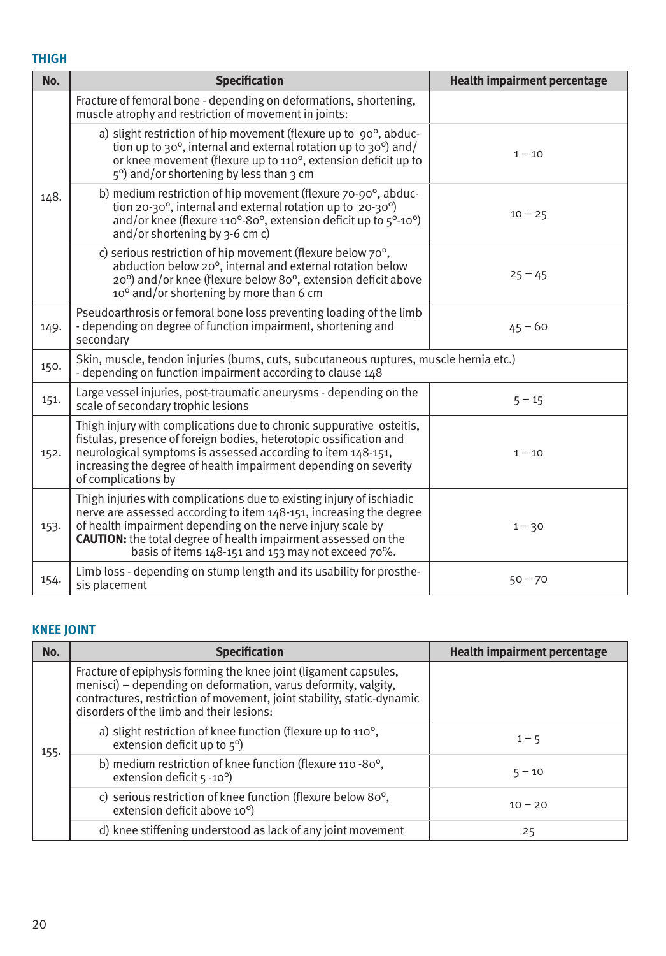### **THIGH**

| No.  | <b>Specification</b>                                                                                                                                                                                                                                                                                                                       | <b>Health impairment percentage</b> |
|------|--------------------------------------------------------------------------------------------------------------------------------------------------------------------------------------------------------------------------------------------------------------------------------------------------------------------------------------------|-------------------------------------|
|      | Fracture of femoral bone - depending on deformations, shortening,<br>muscle atrophy and restriction of movement in joints:                                                                                                                                                                                                                 |                                     |
|      | a) slight restriction of hip movement (flexure up to $90^\circ$ , abduc-<br>tion up to 30 $^{\circ}$ , internal and external rotation up to 30 $^{\circ}$ ) and/<br>or knee movement (flexure up to 110°, extension deficit up to<br>$5^{\circ}$ ) and/or shortening by less than 3 cm                                                     | $1 - 10$                            |
| 148. | b) medium restriction of hip movement (flexure 70-90°, abduc-<br>tion 20-30 $^{\circ}$ , internal and external rotation up to 20-30 $^{\circ}$ )<br>and/or knee (flexure 110°-80°, extension deficit up to 5°-10°)<br>and/or shortening by $3-6$ cm c)                                                                                     | $10 - 25$                           |
|      | c) serious restriction of hip movement (flexure below 70°,<br>abduction below 20°, internal and external rotation below<br>20°) and/or knee (flexure below 80°, extension deficit above<br>10° and/or shortening by more than 6 cm                                                                                                         | $25 - 45$                           |
| 149. | Pseudoarthrosis or femoral bone loss preventing loading of the limb<br>- depending on degree of function impairment, shortening and<br>secondary                                                                                                                                                                                           | $45 - 60$                           |
| 150. | Skin, muscle, tendon injuries (burns, cuts, subcutaneous ruptures, muscle hernia etc.)<br>- depending on function impairment according to clause 148                                                                                                                                                                                       |                                     |
| 151. | Large vessel injuries, post-traumatic aneurysms - depending on the<br>scale of secondary trophic lesions                                                                                                                                                                                                                                   | $5 - 15$                            |
| 152. | Thigh injury with complications due to chronic suppurative osteitis,<br>fistulas, presence of foreign bodies, heterotopic ossification and<br>neurological symptoms is assessed according to item 148-151,<br>increasing the degree of health impairment depending on severity<br>of complications by                                      | $1 - 10$                            |
| 153. | Thigh injuries with complications due to existing injury of ischiadic<br>nerve are assessed according to item 148-151, increasing the degree<br>of health impairment depending on the nerve injury scale by<br><b>CAUTION:</b> the total degree of health impairment assessed on the<br>basis of items 148-151 and 153 may not exceed 70%. | $1 - 30$                            |
| 154. | Limb loss - depending on stump length and its usability for prosthe-<br>sis placement                                                                                                                                                                                                                                                      | $50 - 70$                           |

# **KNEE JOINT**

| No.  | <b>Specification</b>                                                                                                                                                                                                                                     | <b>Health impairment percentage</b> |
|------|----------------------------------------------------------------------------------------------------------------------------------------------------------------------------------------------------------------------------------------------------------|-------------------------------------|
|      | Fracture of epiphysis forming the knee joint (ligament capsules,<br>menisci) – depending on deformation, varus deformity, valgity,<br>contractures, restriction of movement, joint stability, static-dynamic<br>disorders of the limb and their lesions: |                                     |
| 155. | a) slight restriction of knee function (flexure up to 110 <sup>o</sup> ,<br>extension deficit up to $5^{\circ}$ )                                                                                                                                        | $1 - 5$                             |
|      | b) medium restriction of knee function (flexure 110 -80°,<br>extension deficit $5 -10^{\circ}$ )                                                                                                                                                         | $5 - 10$                            |
|      | c) serious restriction of knee function (flexure below 80°,<br>extension deficit above 10 <sup>o</sup> )                                                                                                                                                 | $10 - 20$                           |
|      | d) knee stiffening understood as lack of any joint movement                                                                                                                                                                                              | 25                                  |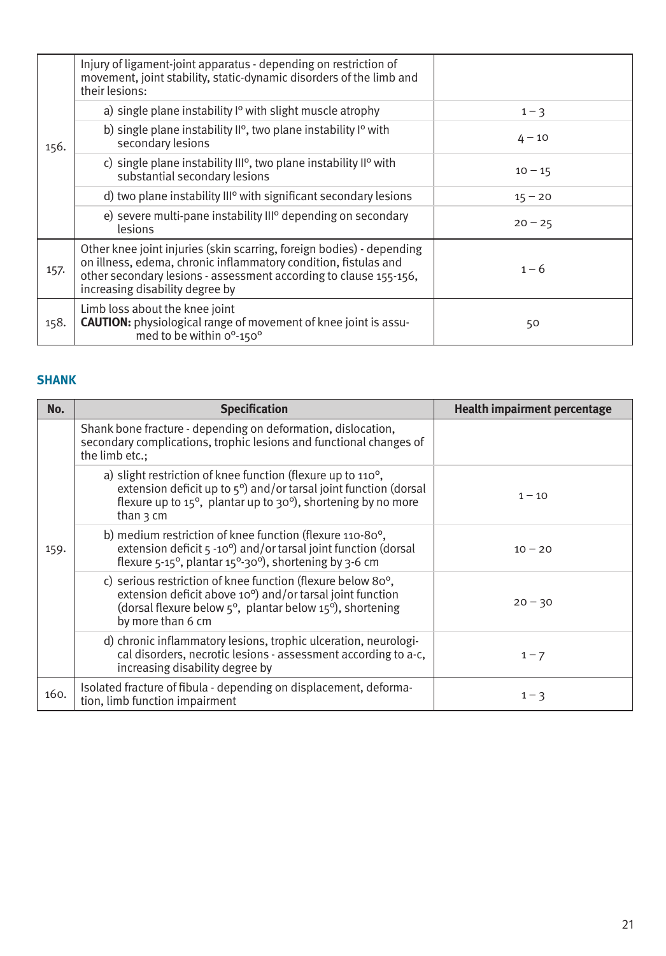| 156. | Injury of ligament-joint apparatus - depending on restriction of<br>movement, joint stability, static-dynamic disorders of the limb and<br>their lesions:                                                                                        |           |
|------|--------------------------------------------------------------------------------------------------------------------------------------------------------------------------------------------------------------------------------------------------|-----------|
|      | a) single plane instability $P^{\circ}$ with slight muscle atrophy                                                                                                                                                                               | $1 - 3$   |
|      | b) single plane instability $II^{\circ}$ , two plane instability $I^{\circ}$ with<br>secondary lesions                                                                                                                                           | $4 - 10$  |
|      | c) single plane instability $III^{\circ}$ , two plane instability $II^{\circ}$ with<br>substantial secondary lesions                                                                                                                             | $10 - 15$ |
|      | d) two plane instability $III^{\circ}$ with significant secondary lesions                                                                                                                                                                        | $15 - 20$ |
|      | e) severe multi-pane instability III <sup>o</sup> depending on secondary<br>lesions                                                                                                                                                              | $20 - 25$ |
| 157. | Other knee joint injuries (skin scarring, foreign bodies) - depending<br>on illness, edema, chronic inflammatory condition, fistulas and<br>other secondary lesions - assessment according to clause 155-156,<br>increasing disability degree by | $1 - 6$   |
| 158. | Limb loss about the knee joint<br><b>CAUTION:</b> physiological range of movement of knee joint is assu-<br>med to be within 0°-150°                                                                                                             | 50        |

### **SHANK**

| No.  | <b>Specification</b>                                                                                                                                                                                                                                                | <b>Health impairment percentage</b> |
|------|---------------------------------------------------------------------------------------------------------------------------------------------------------------------------------------------------------------------------------------------------------------------|-------------------------------------|
|      | Shank bone fracture - depending on deformation, dislocation,<br>secondary complications, trophic lesions and functional changes of<br>the limb etc.:                                                                                                                |                                     |
|      | a) slight restriction of knee function (flexure up to 110 <sup>o</sup> ,<br>extension deficit up to $5^{\circ}$ ) and/or tarsal joint function (dorsal<br>flexure up to $15^{\circ}$ , plantar up to $30^{\circ}$ ), shortening by no more<br>than $\frac{1}{3}$ cm | $1 - 10$                            |
| 159. | b) medium restriction of knee function (flexure 110-80°,<br>extension deficit 5 -10 <sup>o</sup> ) and/or tarsal joint function (dorsal<br>flexure $5-15^\circ$ , plantar $15^\circ - 30^\circ$ ), shortening by 3-6 cm                                             | $10 - 20$                           |
|      | c) serious restriction of knee function (flexure below 80°,<br>extension deficit above 10°) and/or tarsal joint function<br>(dorsal flexure below 5°, plantar below 15°), shortening<br>by more than 6 cm                                                           | $20 - 30$                           |
|      | d) chronic inflammatory lesions, trophic ulceration, neurologi-<br>cal disorders, necrotic lesions - assessment according to a-c,<br>increasing disability degree by                                                                                                | $1 - 7$                             |
| 160. | Isolated fracture of fibula - depending on displacement, deforma-<br>tion, limb function impairment                                                                                                                                                                 | $1 - 3$                             |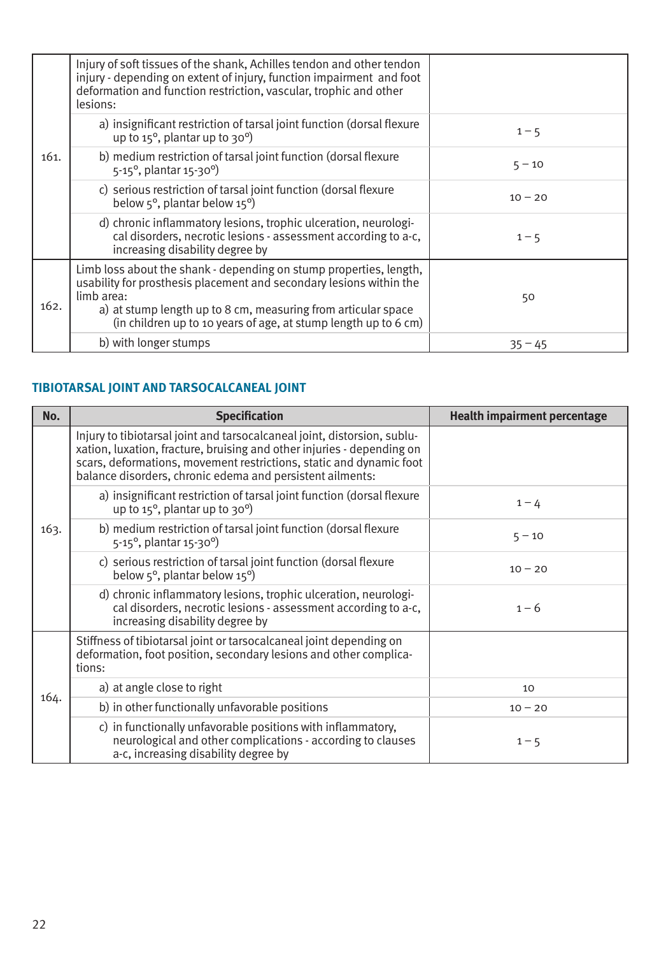|      | Injury of soft tissues of the shank, Achilles tendon and other tendon<br>injury - depending on extent of injury, function impairment and foot<br>deformation and function restriction, vascular, trophic and other<br>lesions:                                                              |           |
|------|---------------------------------------------------------------------------------------------------------------------------------------------------------------------------------------------------------------------------------------------------------------------------------------------|-----------|
|      | a) insignificant restriction of tarsal joint function (dorsal flexure<br>up to $15^{\circ}$ , plantar up to $30^{\circ}$ )                                                                                                                                                                  | $1 - 5$   |
| 161. | b) medium restriction of tarsal joint function (dorsal flexure<br>5-15°, plantar 15-30°)                                                                                                                                                                                                    | $5 - 10$  |
|      | c) serious restriction of tarsal joint function (dorsal flexure<br>below $5^\circ$ , plantar below $15^\circ$ )                                                                                                                                                                             | $10 - 20$ |
|      | d) chronic inflammatory lesions, trophic ulceration, neurologi-<br>cal disorders, necrotic lesions - assessment according to a-c,<br>increasing disability degree by                                                                                                                        | $1 - 5$   |
| 162. | Limb loss about the shank - depending on stump properties, length,<br>usability for prosthesis placement and secondary lesions within the<br>limb area:<br>a) at stump length up to 8 cm, measuring from articular space<br>(in children up to 10 years of age, at stump length up to 6 cm) | 50        |
|      | b) with longer stumps                                                                                                                                                                                                                                                                       | $35 - 45$ |

### **TIBIOTARSAL JOINT AND TARSOCALCANEAL JOINT**

| No.  | <b>Specification</b>                                                                                                                                                                                                                                                                   | <b>Health impairment percentage</b> |
|------|----------------------------------------------------------------------------------------------------------------------------------------------------------------------------------------------------------------------------------------------------------------------------------------|-------------------------------------|
|      | Injury to tibiotarsal joint and tarsocalcaneal joint, distorsion, sublu-<br>xation, luxation, fracture, bruising and other injuries - depending on<br>scars, deformations, movement restrictions, static and dynamic foot<br>balance disorders, chronic edema and persistent ailments: |                                     |
|      | a) insignificant restriction of tarsal joint function (dorsal flexure<br>up to $15^{\circ}$ , plantar up to $30^{\circ}$ )                                                                                                                                                             | $1 - 4$                             |
| 163. | b) medium restriction of tarsal joint function (dorsal flexure<br>5-15°, plantar 15-30°)                                                                                                                                                                                               | $5 - 10$                            |
|      | c) serious restriction of tarsal joint function (dorsal flexure<br>below $5^\circ$ , plantar below $15^\circ$ )                                                                                                                                                                        | $10 - 20$                           |
|      | d) chronic inflammatory lesions, trophic ulceration, neurologi-<br>cal disorders, necrotic lesions - assessment according to a-c,<br>increasing disability degree by                                                                                                                   | $1 - 6$                             |
|      | Stiffness of tibiotarsal joint or tarsocalcaneal joint depending on<br>deformation, foot position, secondary lesions and other complica-<br>tions:                                                                                                                                     |                                     |
|      | a) at angle close to right                                                                                                                                                                                                                                                             | 10                                  |
| 164. | b) in other functionally unfavorable positions                                                                                                                                                                                                                                         | $10 - 20$                           |
|      | c) in functionally unfavorable positions with inflammatory,<br>neurological and other complications - according to clauses<br>a-c, increasing disability degree by                                                                                                                     | $1 - 5$                             |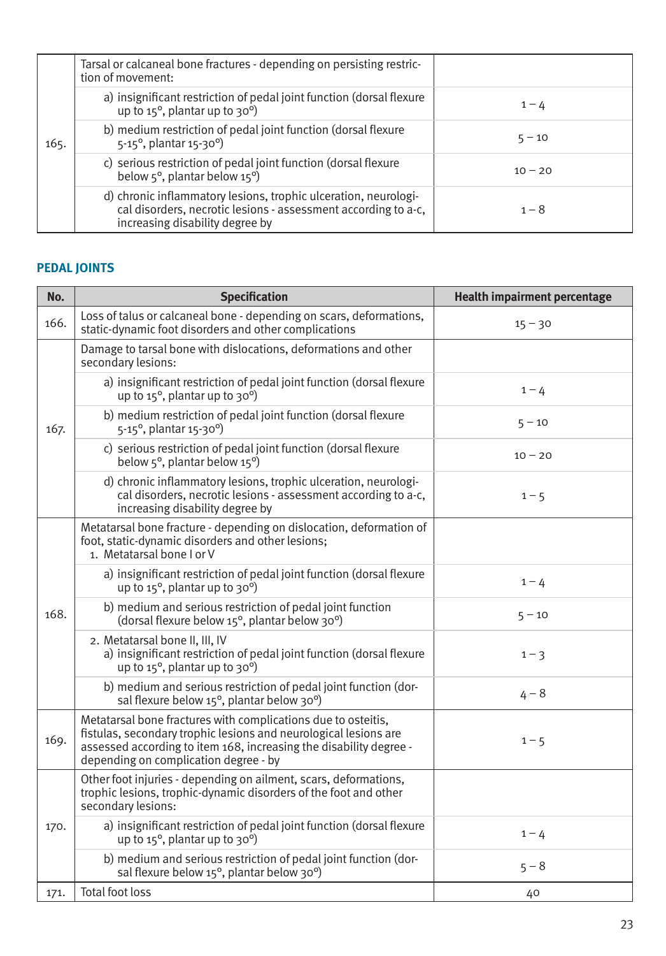|      | Tarsal or calcaneal bone fractures - depending on persisting restric-<br>tion of movement:                                                                           |           |
|------|----------------------------------------------------------------------------------------------------------------------------------------------------------------------|-----------|
|      | a) insignificant restriction of pedal joint function (dorsal flexure<br>up to $15^{\circ}$ , plantar up to $30^{\circ}$ )                                            | $1 - 4$   |
| 165. | b) medium restriction of pedal joint function (dorsal flexure<br>$5-15^{\circ}$ , plantar $15-30^{\circ}$ )                                                          | $5 - 10$  |
|      | c) serious restriction of pedal joint function (dorsal flexure<br>below $5^\circ$ , plantar below $15^\circ$ )                                                       | $10 - 20$ |
|      | d) chronic inflammatory lesions, trophic ulceration, neurologi-<br>cal disorders, necrotic lesions - assessment according to a-c,<br>increasing disability degree by | $1 - 8$   |

### **PEDAL JOINTS**

| No.  | <b>Specification</b>                                                                                                                                                                                                                             | <b>Health impairment percentage</b> |
|------|--------------------------------------------------------------------------------------------------------------------------------------------------------------------------------------------------------------------------------------------------|-------------------------------------|
| 166. | Loss of talus or calcaneal bone - depending on scars, deformations,<br>static-dynamic foot disorders and other complications                                                                                                                     | $15 - 30$                           |
|      | Damage to tarsal bone with dislocations, deformations and other<br>secondary lesions:                                                                                                                                                            |                                     |
|      | a) insignificant restriction of pedal joint function (dorsal flexure<br>up to $15^{\circ}$ , plantar up to $30^{\circ}$ )                                                                                                                        | $1 - 4$                             |
| 167. | b) medium restriction of pedal joint function (dorsal flexure<br>5-15°, plantar 15-30°)                                                                                                                                                          | $5 - 10$                            |
|      | c) serious restriction of pedal joint function (dorsal flexure<br>below $5^\circ$ , plantar below $15^\circ$ )                                                                                                                                   | $10 - 20$                           |
|      | d) chronic inflammatory lesions, trophic ulceration, neurologi-<br>cal disorders, necrotic lesions - assessment according to a-c,<br>increasing disability degree by                                                                             | $1 - 5$                             |
|      | Metatarsal bone fracture - depending on dislocation, deformation of<br>foot, static-dynamic disorders and other lesions;<br>1. Metatarsal bone I or V                                                                                            |                                     |
|      | a) insignificant restriction of pedal joint function (dorsal flexure<br>up to $15^{\circ}$ , plantar up to $30^{\circ}$ )                                                                                                                        | $1 - 4$                             |
| 168. | b) medium and serious restriction of pedal joint function<br>(dorsal flexure below 15°, plantar below 30°)                                                                                                                                       | $5 - 10$                            |
|      | 2. Metatarsal bone II, III, IV<br>a) insignificant restriction of pedal joint function (dorsal flexure<br>up to $15^\circ$ , plantar up to $30^\circ$ )                                                                                          | $1 - 3$                             |
|      | b) medium and serious restriction of pedal joint function (dor-<br>sal flexure below 15°, plantar below 30°)                                                                                                                                     | $4 - 8$                             |
| 169. | Metatarsal bone fractures with complications due to osteitis,<br>fistulas, secondary trophic lesions and neurological lesions are<br>assessed according to item 168, increasing the disability degree -<br>depending on complication degree - by | $1 - 5$                             |
| 170. | Other foot injuries - depending on ailment, scars, deformations,<br>trophic lesions, trophic-dynamic disorders of the foot and other<br>secondary lesions:                                                                                       |                                     |
|      | a) insignificant restriction of pedal joint function (dorsal flexure<br>up to $15^{\circ}$ , plantar up to $30^{\circ}$ )                                                                                                                        | $1 - 4$                             |
|      | b) medium and serious restriction of pedal joint function (dor-<br>sal flexure below 15°, plantar below 30°)                                                                                                                                     | $5 - 8$                             |
| 171. | Total foot loss                                                                                                                                                                                                                                  | 40                                  |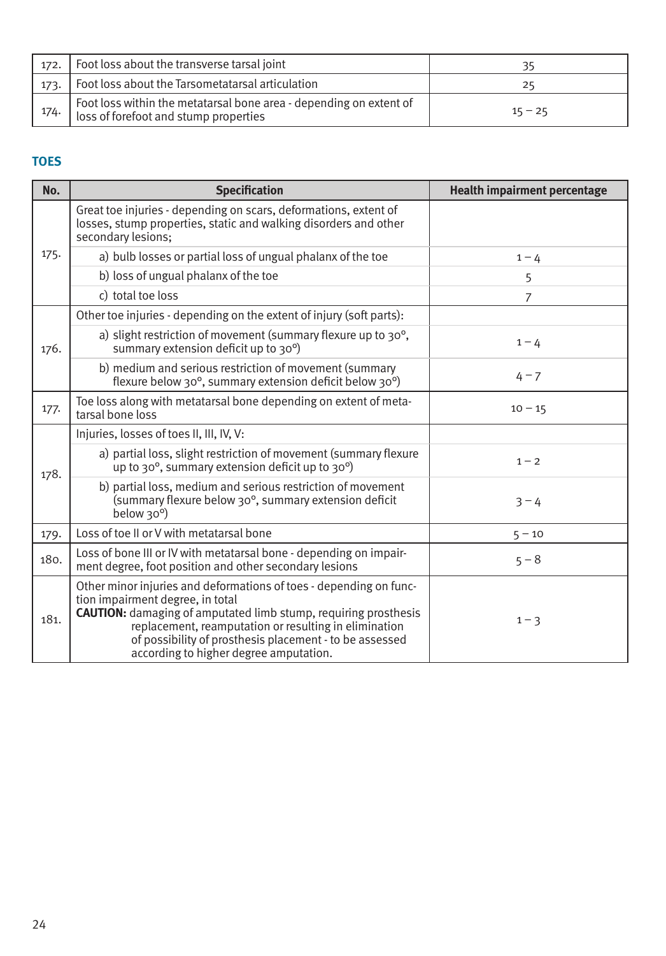| 172. | Foot loss about the transverse tarsal joint                                                                 | 35        |
|------|-------------------------------------------------------------------------------------------------------------|-----------|
| 173. | Foot loss about the Tarsometatarsal articulation                                                            | 25        |
| 174. | Foot loss within the metatarsal bone area - depending on extent of<br>loss of forefoot and stump properties | $15 - 25$ |

### **TOES**

| No.  | <b>Specification</b>                                                                                                                                                                                                                                                                                                                           | <b>Health impairment percentage</b> |  |
|------|------------------------------------------------------------------------------------------------------------------------------------------------------------------------------------------------------------------------------------------------------------------------------------------------------------------------------------------------|-------------------------------------|--|
| 175. | Great toe injuries - depending on scars, deformations, extent of<br>losses, stump properties, static and walking disorders and other<br>secondary lesions;                                                                                                                                                                                     |                                     |  |
|      | a) bulb losses or partial loss of ungual phalanx of the toe                                                                                                                                                                                                                                                                                    | $1 - 4$                             |  |
|      | b) loss of ungual phalanx of the toe                                                                                                                                                                                                                                                                                                           | 5                                   |  |
|      | c) total toe loss                                                                                                                                                                                                                                                                                                                              | 7                                   |  |
| 176. | Other toe injuries - depending on the extent of injury (soft parts):                                                                                                                                                                                                                                                                           |                                     |  |
|      | a) slight restriction of movement (summary flexure up to 30°,<br>summary extension deficit up to 30°)                                                                                                                                                                                                                                          | $1 - 4$                             |  |
|      | b) medium and serious restriction of movement (summary<br>flexure below 30°, summary extension deficit below 30°)                                                                                                                                                                                                                              | $4 - 7$                             |  |
| 177. | Toe loss along with metatarsal bone depending on extent of meta-<br>tarsal bone loss                                                                                                                                                                                                                                                           | $10 - 15$                           |  |
|      | Injuries, losses of toes II, III, IV, V:                                                                                                                                                                                                                                                                                                       |                                     |  |
| 178. | a) partial loss, slight restriction of movement (summary flexure<br>up to 30°, summary extension deficit up to 30°)                                                                                                                                                                                                                            | $1 - 2$                             |  |
|      | b) partial loss, medium and serious restriction of movement<br>(summary flexure below 30°, summary extension deficit<br>below 30°)                                                                                                                                                                                                             | $3 - 4$                             |  |
| 179. | Loss of toe II or V with metatarsal bone                                                                                                                                                                                                                                                                                                       | $5 - 10$                            |  |
| 180. | Loss of bone III or IV with metatarsal bone - depending on impair-<br>ment degree, foot position and other secondary lesions                                                                                                                                                                                                                   | $5 - 8$                             |  |
| 181. | Other minor injuries and deformations of toes - depending on func-<br>tion impairment degree, in total<br><b>CAUTION:</b> damaging of amputated limb stump, requiring prosthesis<br>replacement, reamputation or resulting in elimination<br>of possibility of prosthesis placement - to be assessed<br>according to higher degree amputation. | $1 - 3$                             |  |